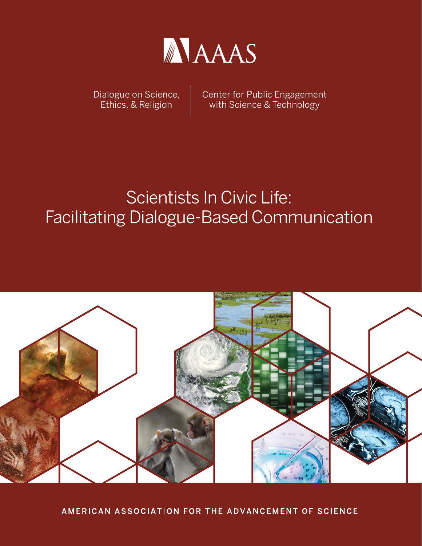

Dialogue on Science, Ethics, & Religion

Center for Public Engagement with Science & Technology

# Scientists In Civic Life: Facilitating Dialogue-Based Communication



AMERICAN ASSOCIATION FOR THE ADVANCEMENT OF SCIENCE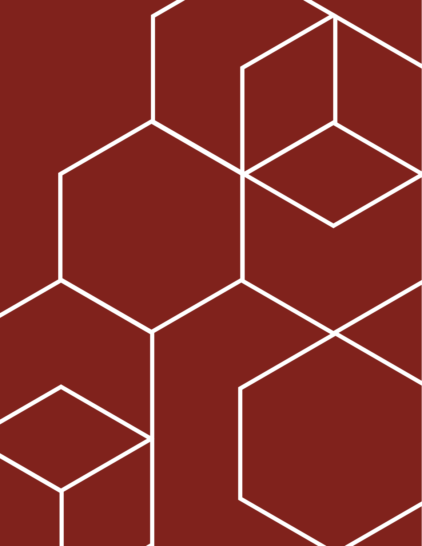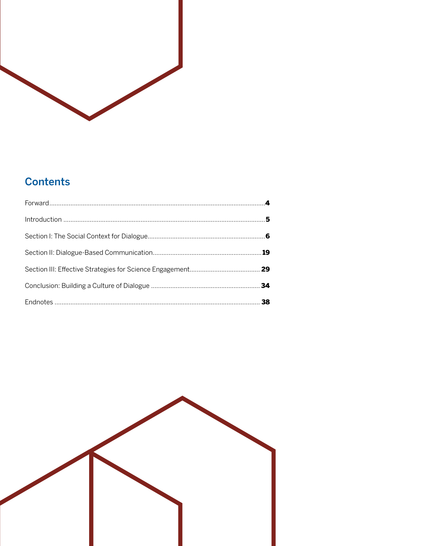<span id="page-2-0"></span>

## **Contents**

| $\label{eq:interoduction} \text{Introduction} \,\, \ldots \,\, \ldots \,\, \ldots \,\, \ldots \,\, \ldots \,\, \ldots \,\, \ldots \,\, \ldots \,\, \ldots \,\, \ldots \,\, \ldots \,\, \ldots \,\, \ldots \,\, \ldots \,\, \ldots \,\, \ldots \,\, \ldots \,\, \ldots \,\, \ldots \,\, \ldots \,\, \ldots \,\, \ldots \,\, \ldots \,\, \ldots \,\, \ldots \,\, \ldots \,\, \ldots \,\, \ldots \,\, \ldots \,\, \ldots \,\, \ldots \,\, \ldots \,\, \ldots \,\, \ldots \,\$ |  |
|----------------------------------------------------------------------------------------------------------------------------------------------------------------------------------------------------------------------------------------------------------------------------------------------------------------------------------------------------------------------------------------------------------------------------------------------------------------------------|--|
|                                                                                                                                                                                                                                                                                                                                                                                                                                                                            |  |
|                                                                                                                                                                                                                                                                                                                                                                                                                                                                            |  |
|                                                                                                                                                                                                                                                                                                                                                                                                                                                                            |  |
|                                                                                                                                                                                                                                                                                                                                                                                                                                                                            |  |
|                                                                                                                                                                                                                                                                                                                                                                                                                                                                            |  |

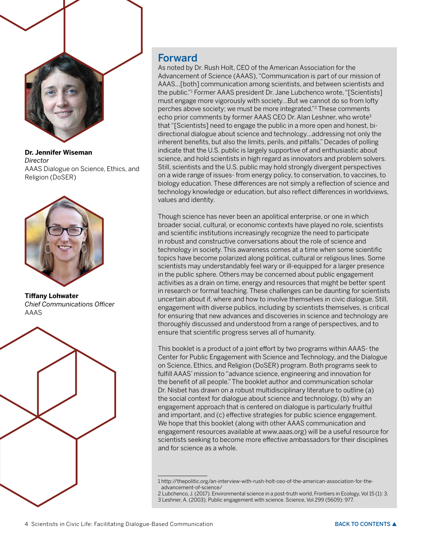<span id="page-3-0"></span>

**Dr. Jennifer Wiseman** *Director* AAAS Dialogue on Science, Ethics, and Religion (DoSER)



**Tiffany Lohwater** *Chief Communications Officer* AAAS



### Forward

As noted by Dr. Rush Holt, CEO of the American Association for the Advancement of Science (AAAS), "Communication is part of our mission of AAAS…[both] communication among scientists, and between scientists and the public."1 Former AAAS president Dr. Jane Lubchenco wrote, "[Scientists] must engage more vigorously with society…But we cannot do so from lofty perches above society; we must be more integrated."2 These comments echo prior comments by former AAAS CEO Dr. Alan Leshner, who wrote<sup>3</sup> that "[Scientists] need to engage the public in a more open and honest, bidirectional dialogue about science and technology…addressing not only the inherent benefits, but also the limits, perils, and pitfalls." Decades of polling indicate that the U.S. public is largely supportive of and enthusiastic about science, and hold scientists in high regard as innovators and problem solvers. Still, scientists and the U.S. public may hold strongly divergent perspectives on a wide range of issues- from energy policy, to conservation, to vaccines, to biology education. These differences are not simply a reflection of science and technology knowledge or education, but also reflect differences in worldviews, values and identity.

Though science has never been an apolitical enterprise, or one in which broader social, cultural, or economic contexts have played no role, scientists and scientific institutions increasingly recognize the need to participate in robust and constructive conversations about the role of science and technology in society. This awareness comes at a time when some scientific topics have become polarized along political, cultural or religious lines. Some scientists may understandably feel wary or ill-equipped for a larger presence in the public sphere. Others may be concerned about public engagement activities as a drain on time, energy and resources that might be better spent in research or formal teaching. These challenges can be daunting for scientists uncertain about if, where and how to involve themselves in civic dialogue. Still, engagement with diverse publics, including by scientists themselves, is critical for ensuring that new advances and discoveries in science and technology are thoroughly discussed and understood from a range of perspectives, and to ensure that scientific progress serves all of humanity.

This booklet is a product of a joint effort by two programs within AAAS- the Center for Public Engagement with Science and Technology, and the Dialogue on Science, Ethics, and Religion (DoSER) program. Both programs seek to fulfill AAAS' mission to "advance science, engineering and innovation for the benefit of all people." The booklet author and communication scholar Dr. Nisbet has drawn on a robust multidisciplinary literature to outline (a) the social context for dialogue about science and technology, (b) why an engagement approach that is centered on dialogue is particularly fruitful and important, and (c) effective strategies for public science engagement. We hope that this booklet (along with other AAAS communication and engagement resources available at www.aaas.org) will be a useful resource for scientists seeking to become more effective ambassadors for their disciplines and for science as a whole.

<sup>1</sup> http://thepolitic.org/an-interview-with-rush-holt-ceo-of-the-american-association-for-theadvancement-of-science/

<sup>2</sup> Lubchenco, J. (2017). Environmental science in a post-truth world, Frontiers in Ecology, Vol 15 (1): 3. 3 Leshner, A. (2003). Public engagement with science. Science, Vol 299 (5609): 977.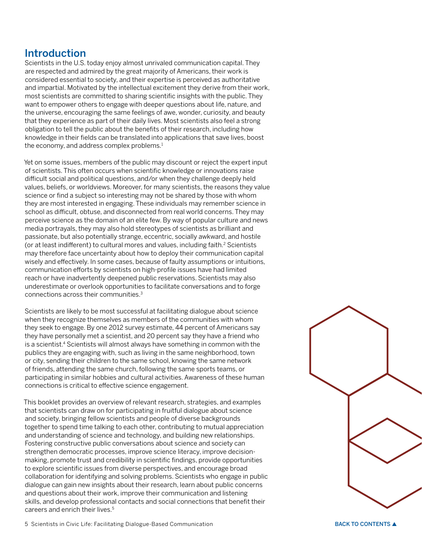### <span id="page-4-0"></span>Introduction

Scientists in the U.S. today enjoy almost unrivaled communication capital. They are respected and admired by the great majority of Americans, their work is considered essential to society, and their expertise is perceived as authoritative and impartial. Motivated by the intellectual excitement they derive from their work, most scientists are committed to sharing scientific insights with the public. They want to empower others to engage with deeper questions about life, nature, and the universe, encouraging the same feelings of awe, wonder, curiosity, and beauty that they experience as part of their daily lives. Most scientists also feel a strong obligation to tell the public about the benefits of their research, including how knowledge in their fields can be translated into applications that save lives, boost the economy, and address complex problems.<sup>1</sup>

Yet on some issues, members of the public may discount or reject the expert input of scientists. This often occurs when scientific knowledge or innovations raise difficult social and political questions, and/or when they challenge deeply held values, beliefs, or worldviews. Moreover, for many scientists, the reasons they value science or find a subject so interesting may not be shared by those with whom they are most interested in engaging. These individuals may remember science in school as difficult, obtuse, and disconnected from real world concerns. They may perceive science as the domain of an elite few. By way of popular culture and news media portrayals, they may also hold stereotypes of scientists as brilliant and passionate, but also potentially strange, eccentric, socially awkward, and hostile (or at least indifferent) to cultural mores and values, including faith.2 Scientists may therefore face uncertainty about how to deploy their communication capital wisely and effectively. In some cases, because of faulty assumptions or intuitions, communication efforts by scientists on high-profile issues have had limited reach or have inadvertently deepened public reservations. Scientists may also underestimate or overlook opportunities to facilitate conversations and to forge connections across their communities.3

Scientists are likely to be most successful at facilitating dialogue about science when they recognize themselves as members of the communities with whom they seek to engage. By one 2012 survey estimate, 44 percent of Americans say they have personally met a scientist, and 20 percent say they have a friend who is a scientist.<sup>4</sup> Scientists will almost always have something in common with the publics they are engaging with, such as living in the same neighborhood, town or city, sending their children to the same school, knowing the same network of friends, attending the same church, following the same sports teams, or participating in similar hobbies and cultural activities. Awareness of these human connections is critical to effective science engagement.

This booklet provides an overview of relevant research, strategies, and examples that scientists can draw on for participating in fruitful dialogue about science and society, bringing fellow scientists and people of diverse backgrounds together to spend time talking to each other, contributing to mutual appreciation and understanding of science and technology, and building new relationships. Fostering constructive public conversations about science and society can strengthen democratic processes, improve science literacy, improve decisionmaking, promote trust and credibility in scientific findings, provide opportunities to explore scientific issues from diverse perspectives, and encourage broad collaboration for identifying and solving problems. Scientists who engage in public dialogue can gain new insights about their research, learn about public concerns and questions about their work, improve their communication and listening skills, and develop professional contacts and social connections that benefit their careers and enrich their lives.5

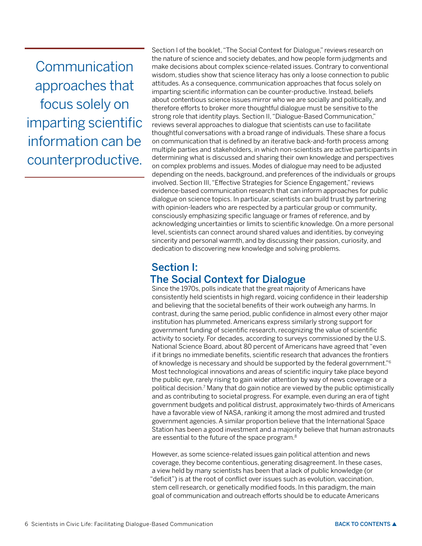<span id="page-5-0"></span>**Communication** approaches that focus solely on imparting scientific information can be counterproductive.

Section I of the booklet, "The Social Context for Dialogue," reviews research on the nature of science and society debates, and how people form judgments and make decisions about complex science-related issues. Contrary to conventional wisdom, studies show that science literacy has only a loose connection to public attitudes. As a consequence, communication approaches that focus solely on imparting scientific information can be counter-productive. Instead, beliefs about contentious science issues mirror who we are socially and politically, and therefore efforts to broker more thoughtful dialogue must be sensitive to the strong role that identity plays. Section II, "Dialogue-Based Communication," reviews several approaches to dialogue that scientists can use to facilitate thoughtful conversations with a broad range of individuals. These share a focus on communication that is defined by an iterative back-and-forth process among multiple parties and stakeholders, in which non-scientists are active participants in determining what is discussed and sharing their own knowledge and perspectives on complex problems and issues. Modes of dialogue may need to be adjusted depending on the needs, background, and preferences of the individuals or groups involved. Section III, "Effective Strategies for Science Engagement," reviews evidence-based communication research that can inform approaches for public dialogue on science topics. In particular, scientists can build trust by partnering with opinion-leaders who are respected by a particular group or community, consciously emphasizing specific language or frames of reference, and by acknowledging uncertainties or limits to scientific knowledge. On a more personal level, scientists can connect around shared values and identities, by conveying sincerity and personal warmth, and by discussing their passion, curiosity, and dedication to discovering new knowledge and solving problems.

### Section I: The Social Context for Dialogue

Since the 1970s, polls indicate that the great majority of Americans have consistently held scientists in high regard, voicing confidence in their leadership and believing that the societal benefits of their work outweigh any harms. In contrast, during the same period, public confidence in almost every other major institution has plummeted. Americans express similarly strong support for government funding of scientific research, recognizing the value of scientific activity to society. For decades, according to surveys commissioned by the U.S. National Science Board, about 80 percent of Americans have agreed that "even if it brings no immediate benefits, scientific research that advances the frontiers of knowledge is necessary and should be supported by the federal government."6 Most technological innovations and areas of scientific inquiry take place beyond the public eye, rarely rising to gain wider attention by way of news coverage or a political decision.7 Many that do gain notice are viewed by the public optimistically and as contributing to societal progress. For example, even during an era of tight government budgets and political distrust, approximately two-thirds of Americans have a favorable view of NASA, ranking it among the most admired and trusted government agencies. A similar proportion believe that the International Space Station has been a good investment and a majority believe that human astronauts are essential to the future of the space program.<sup>8</sup>

However, as some science-related issues gain political attention and news coverage, they become contentious, generating disagreement. In these cases, a view held by many scientists has been that a lack of public knowledge (or "deficit") is at the root of conflict over issues such as evolution, vaccination, stem cell research, or genetically modified foods. In this paradigm, the main goal of communication and outreach efforts should be to educate Americans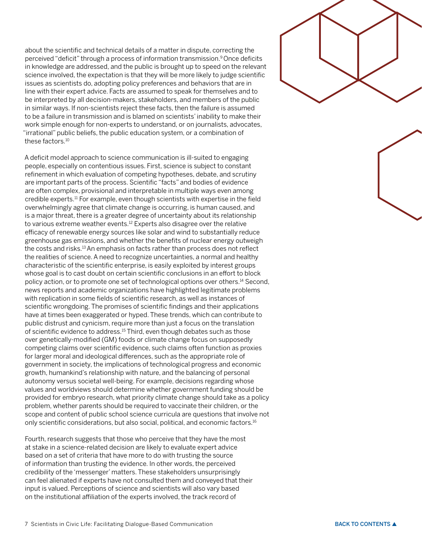about the scientific and technical details of a matter in dispute, correcting the perceived "deficit" through a process of information transmission.9 Once deficits in knowledge are addressed, and the public is brought up to speed on the relevant science involved, the expectation is that they will be more likely to judge scientific issues as scientists do, adopting policy preferences and behaviors that are in line with their expert advice. Facts are assumed to speak for themselves and to be interpreted by all decision-makers, stakeholders, and members of the public in similar ways. If non-scientists reject these facts, then the failure is assumed to be a failure in transmission and is blamed on scientists' inability to make their work simple enough for non-experts to understand, or on journalists, advocates, "irrational" public beliefs, the public education system, or a combination of these factors.10

A deficit model approach to science communication is ill-suited to engaging people, especially on contentious issues. First, science is subject to constant refinement in which evaluation of competing hypotheses, debate, and scrutiny are important parts of the process. Scientific "facts" and bodies of evidence are often complex, provisional and interpretable in multiple ways even among credible experts.11 For example, even though scientists with expertise in the field overwhelmingly agree that climate change is occurring, is human caused, and is a major threat, there is a greater degree of uncertainty about its relationship to various extreme weather events.<sup>12</sup> Experts also disagree over the relative efficacy of renewable energy sources like solar and wind to substantially reduce greenhouse gas emissions, and whether the benefits of nuclear energy outweigh the costs and risks.<sup>13</sup> An emphasis on facts rather than process does not reflect the realities of science. A need to recognize uncertainties, a normal and healthy characteristic of the scientific enterprise, is easily exploited by interest groups whose goal is to cast doubt on certain scientific conclusions in an effort to block policy action, or to promote one set of technological options over others.14 Second, news reports and academic organizations have highlighted legitimate problems with replication in some fields of scientific research, as well as instances of scientific wrongdoing. The promises of scientific findings and their applications have at times been exaggerated or hyped. These trends, which can contribute to public distrust and cynicism, require more than just a focus on the translation of scientific evidence to address.15 Third, even though debates such as those over genetically-modified (GM) foods or climate change focus on supposedly competing claims over scientific evidence, such claims often function as proxies for larger moral and ideological differences, such as the appropriate role of government in society, the implications of technological progress and economic growth, humankind's relationship with nature, and the balancing of personal autonomy versus societal well-being. For example, decisions regarding whose values and worldviews should determine whether government funding should be provided for embryo research, what priority climate change should take as a policy problem, whether parents should be required to vaccinate their children, or the scope and content of public school science curricula are questions that involve not only scientific considerations, but also social, political, and economic factors.16

Fourth, research suggests that those who perceive that they have the most at stake in a science-related decision are likely to evaluate expert advice based on a set of criteria that have more to do with trusting the source of information than trusting the evidence. In other words, the perceived credibility of the 'messenger' matters. These stakeholders unsurprisingly can feel alienated if experts have not consulted them and conveyed that their input is valued. Perceptions of science and scientists will also vary based on the institutional affiliation of the experts involved, the track record of

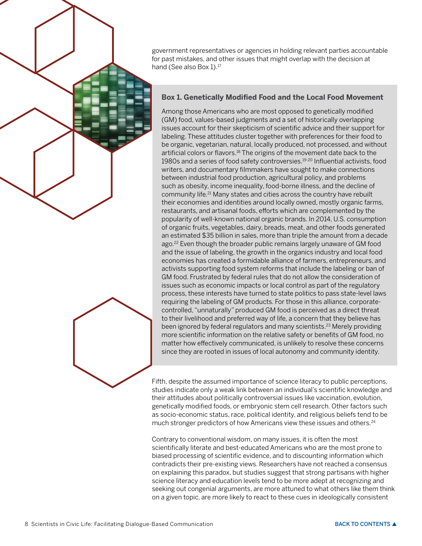government representatives or agencies in holding relevant parties accountable for past mistakes, and other issues that might overlap with the decision at hand (See also Box 1).<sup>17</sup>

#### **Box 1. Genetically Modified Food and the Local Food Movement**

Among those Americans who are most opposed to genetically modified (GM) food, values-based judgments and a set of historically overlapping issues account for their skepticism of scientific advice and their support for labeling. These attitudes cluster together with preferences for their food to be organic, vegetarian, natural, locally produced, not processed, and without artificial colors or flavors.<sup>18</sup> The origins of the movement date back to the 1980s and a series of food safety controversies.19-20 Influential activists, food writers, and documentary filmmakers have sought to make connections between industrial food production, agricultural policy, and problems such as obesity, income inequality, food-borne illness, and the decline of community life.<sup>21</sup> Many states and cities across the country have rebuilt their economies and identities around locally owned, mostly organic farms, restaurants, and artisanal foods, efforts which are complemented by the popularity of well-known national organic brands. In 2014, U.S. consumption of organic fruits, vegetables, dairy, breads, meat, and other foods generated an estimated \$35 billion in sales, more than triple the amount from a decade ago.<sup>22</sup> Even though the broader public remains largely unaware of GM food and the issue of labeling, the growth in the organics industry and local food economies has created a formidable alliance of farmers, entrepreneurs, and activists supporting food system reforms that include the labeling or ban of GM food. Frustrated by federal rules that do not allow the consideration of issues such as economic impacts or local control as part of the regulatory process, these interests have turned to state politics to pass state-level laws requiring the labeling of GM products. For those in this alliance, corporatecontrolled, "unnaturally" produced GM food is perceived as a direct threat to their livelihood and preferred way of life, a concern that they believe has been ignored by federal regulators and many scientists.<sup>23</sup> Merely providing more scientific information on the relative safety or benefits of GM food, no matter how effectively communicated, is unlikely to resolve these concerns since they are rooted in issues of local autonomy and community identity.

Fifth, despite the assumed importance of science literacy to public perceptions, studies indicate only a weak link between an individual's scientific knowledge and their attitudes about politically controversial issues like vaccination, evolution, genetically modified foods, or embryonic stem cell research. Other factors such as socio-economic status, race, political identity, and religious beliefs tend to be much stronger predictors of how Americans view these issues and others.<sup>24</sup>

Contrary to conventional wisdom, on many issues, it is often the most scientifically literate and best-educated Americans who are the most prone to biased processing of scientific evidence, and to discounting information which contradicts their pre-existing views. Researchers have not reached a consensus on explaining this paradox, but studies suggest that strong partisans with higher science literacy and education levels tend to be more adept at recognizing and seeking out congenial arguments, are more attuned to what others like them think on a given topic, are more likely to react to these cues in ideologically consistent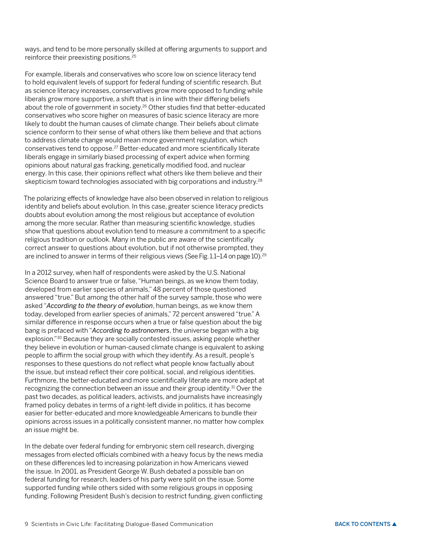ways, and tend to be more personally skilled at offering arguments to support and reinforce their preexisting positions.25

For example, liberals and conservatives who score low on science literacy tend to hold equivalent levels of support for federal funding of scientific research. But as science literacy increases, conservatives grow more opposed to funding while liberals grow more supportive, a shift that is in line with their differing beliefs about the role of government in society.26 Other studies find that better-educated conservatives who score higher on measures of basic science literacy are more likely to doubt the human causes of climate change. Their beliefs about climate science conform to their sense of what others like them believe and that actions to address climate change would mean more government regulation, which conservatives tend to oppose.27 Better-educated and more scientifically literate liberals engage in similarly biased processing of expert advice when forming opinions about natural gas fracking, genetically modified food, and nuclear energy. In this case, their opinions reflect what others like them believe and their skepticism toward technologies associated with big corporations and industry.<sup>28</sup>

The polarizing effects of knowledge have also been observed in relation to religious identity and beliefs about evolution. In this case, greater science literacy predicts doubts about evolution among the most religious but acceptance of evolution among the more secular. Rather than measuring scientific knowledge, studies show that questions about evolution tend to measure a commitment to a specific religious tradition or outlook. Many in the public are aware of the scientifically correct answer to questions about evolution, but if not otherwise prompted, they are inclined to answer in terms of their religious views (See Fig. 1.1–1.4 on page 10).29

In a 2012 survey, when half of respondents were asked by the U.S. National Science Board to answer true or false, "Human beings, as we know them today, developed from earlier species of animals," 48 percent of those questioned answered "true." But among the other half of the survey sample, those who were asked "*According to the theory of evolution*, human beings, as we know them today, developed from earlier species of animals," 72 percent answered "true." A similar difference in response occurs when a true or false question about the big bang is prefaced with "*According to astronomers*, the universe began with a big explosion."30 Because they are socially contested issues, asking people whether they believe in evolution or human-caused climate change is equivalent to asking people to affirm the social group with which they identify. As a result, people's responses to these questions do not reflect what people know factually about the issue, but instead reflect their core political, social, and religious identities. Furthmore, the better-educated and more scientifically literate are more adept at recognizing the connection between an issue and their group identity.<sup>31</sup> Over the past two decades, as political leaders, activists, and journalists have increasingly framed policy debates in terms of a right-left divide in politics, it has become easier for better-educated and more knowledgeable Americans to bundle their opinions across issues in a politically consistent manner, no matter how complex an issue might be.

In the debate over federal funding for embryonic stem cell research, diverging messages from elected officials combined with a heavy focus by the news media on these differences led to increasing polarization in how Americans viewed the issue. In 2001, as President George W. Bush debated a possible ban on federal funding for research, leaders of his party were split on the issue. Some supported funding while others sided with some religious groups in opposing funding. Following President Bush's decision to restrict funding, given conflicting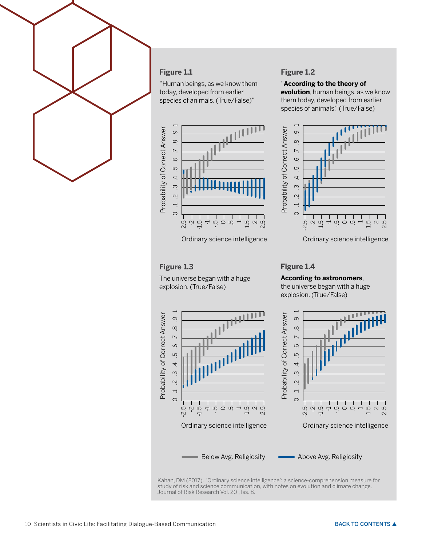

#### **Figure 1.1**

"Human beings, as we know them today, developed from earlier species of animals. (True/False)"



Ordinary science intelligence

#### **Figure 1.3**

The universe began with a huge explosion. (True/False)



Kahan, DM (2017). 'Ordinary science intelligence': a science-comprehension measure for study of risk and science communication, with notes on evolution and climate change. Journal of Risk Research Vol. 20 , Iss. 8.

#### **Figure 1.2**

#### "**According to the theory of**

**evolution**, human beings, as we know them today, developed from earlier species of animals." (True/False)



#### **Figure 1.4**

#### **According to astronomers**,

the universe began with a huge explosion. (True/False)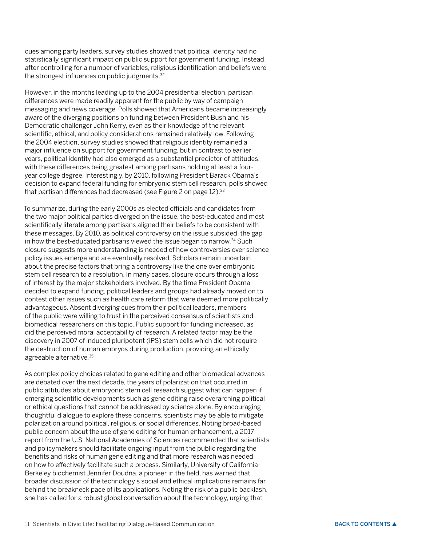cues among party leaders, survey studies showed that political identity had no statistically significant impact on public support for government funding. Instead, after controlling for a number of variables, religious identification and beliefs were the strongest influences on public judgments.<sup>32</sup>

However, in the months leading up to the 2004 presidential election, partisan differences were made readily apparent for the public by way of campaign messaging and news coverage. Polls showed that Americans became increasingly aware of the diverging positions on funding between President Bush and his Democratic challenger John Kerry, even as their knowledge of the relevant scientific, ethical, and policy considerations remained relatively low. Following the 2004 election, survey studies showed that religious identity remained a major influence on support for government funding, but in contrast to earlier years, political identity had also emerged as a substantial predictor of attitudes, with these differences being greatest among partisans holding at least a fouryear college degree. Interestingly, by 2010, following President Barack Obama's decision to expand federal funding for embryonic stem cell research, polls showed that partisan differences had decreased (see Figure 2 on page 12).<sup>33</sup>

To summarize, during the early 2000s as elected officials and candidates from the two major political parties diverged on the issue, the best-educated and most scientifically literate among partisans aligned their beliefs to be consistent with these messages. By 2010, as political controversy on the issue subsided, the gap in how the best-educated partisans viewed the issue began to narrow.34 Such closure suggests more understanding is needed of how controversies over science policy issues emerge and are eventually resolved. Scholars remain uncertain about the precise factors that bring a controversy like the one over embryonic stem cell research to a resolution. In many cases, closure occurs through a loss of interest by the major stakeholders involved. By the time President Obama decided to expand funding, political leaders and groups had already moved on to contest other issues such as health care reform that were deemed more politically advantageous. Absent diverging cues from their political leaders, members of the public were willing to trust in the perceived consensus of scientists and biomedical researchers on this topic. Public support for funding increased, as did the perceived moral acceptability of research. A related factor may be the discovery in 2007 of induced pluripotent (iPS) stem cells which did not require the destruction of human embryos during production, providing an ethically agreeable alternative.35

As complex policy choices related to gene editing and other biomedical advances are debated over the next decade, the years of polarization that occurred in public attitudes about embryonic stem cell research suggest what can happen if emerging scientific developments such as gene editing raise overarching political or ethical questions that cannot be addressed by science alone. By encouraging thoughtful dialogue to explore these concerns, scientists may be able to mitigate polarization around political, religious, or social differences. Noting broad-based public concern about the use of gene editing for human enhancement, a 2017 report from the U.S. National Academies of Sciences recommended that scientists and policymakers should facilitate ongoing input from the public regarding the benefits and risks of human gene editing and that more research was needed on how to effectively facilitate such a process. Similarly, University of California-Berkeley biochemist Jennifer Doudna, a pioneer in the field, has warned that broader discussion of the technology's social and ethical implications remains far behind the breakneck pace of its applications. Noting the risk of a public backlash, she has called for a robust global conversation about the technology, urging that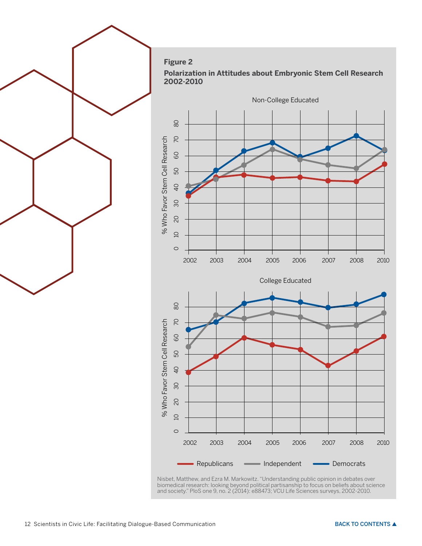



**Polarization in Attitudes about Embryonic Stem Cell Research** 

Nisbet, Matthew, and Ezra M. Markowitz. "Understanding public opinion in debates over biomedical research: looking beyond political partisanship to focus on beliefs about science and society." PloS one 9, no. 2 (2014): e88473; VCU Life Sciences surveys, 2002-2010.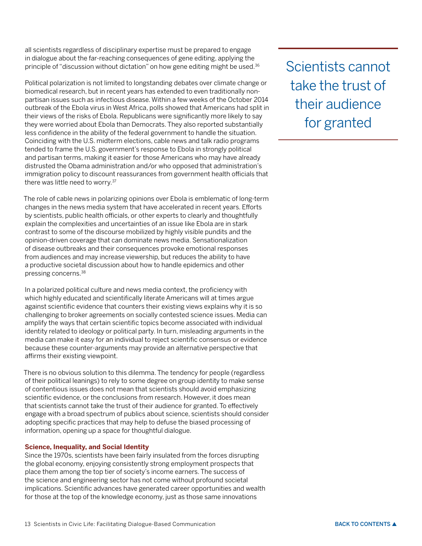all scientists regardless of disciplinary expertise must be prepared to engage in dialogue about the far-reaching consequences of gene editing, applying the principle of "discussion without dictation" on how gene editing might be used.<sup>36</sup>

Political polarization is not limited to longstanding debates over climate change or biomedical research, but in recent years has extended to even traditionally nonpartisan issues such as infectious disease. Within a few weeks of the October 2014 outbreak of the Ebola virus in West Africa, polls showed that Americans had split in their views of the risks of Ebola. Republicans were significantly more likely to say they were worried about Ebola than Democrats. They also reported substantially less confidence in the ability of the federal government to handle the situation. Coinciding with the U.S. midterm elections, cable news and talk radio programs tended to frame the U.S. government's response to Ebola in strongly political and partisan terms, making it easier for those Americans who may have already distrusted the Obama administration and/or who opposed that administration's immigration policy to discount reassurances from government health officials that there was little need to worry.37

The role of cable news in polarizing opinions over Ebola is emblematic of long-term changes in the news media system that have accelerated in recent years. Efforts by scientists, public health officials, or other experts to clearly and thoughtfully explain the complexities and uncertainties of an issue like Ebola are in stark contrast to some of the discourse mobilized by highly visible pundits and the opinion-driven coverage that can dominate news media. Sensationalization of disease outbreaks and their consequences provoke emotional responses from audiences and may increase viewership, but reduces the ability to have a productive societal discussion about how to handle epidemics and other pressing concerns.38

In a polarized political culture and news media context, the proficiency with which highly educated and scientifically literate Americans will at times argue against scientific evidence that counters their existing views explains why it is so challenging to broker agreements on socially contested science issues. Media can amplify the ways that certain scientific topics become associated with individual identity related to ideology or political party. In turn, misleading arguments in the media can make it easy for an individual to reject scientific consensus or evidence because these counter-arguments may provide an alternative perspective that affirms their existing viewpoint.

There is no obvious solution to this dilemma. The tendency for people (regardless of their political leanings) to rely to some degree on group identity to make sense of contentious issues does not mean that scientists should avoid emphasizing scientific evidence, or the conclusions from research. However, it does mean that scientists cannot take the trust of their audience for granted. To effectively engage with a broad spectrum of publics about science, scientists should consider adopting specific practices that may help to defuse the biased processing of information, opening up a space for thoughtful dialogue.

#### **Science, Inequality, and Social Identity**

Since the 1970s, scientists have been fairly insulated from the forces disrupting the global economy, enjoying consistently strong employment prospects that place them among the top tier of society's income earners. The success of the science and engineering sector has not come without profound societal implications. Scientific advances have generated career opportunities and wealth for those at the top of the knowledge economy, just as those same innovations

Scientists cannot take the trust of their audience for granted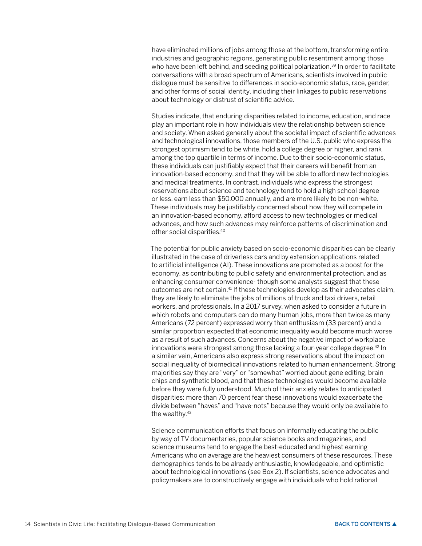have eliminated millions of jobs among those at the bottom, transforming entire industries and geographic regions, generating public resentment among those who have been left behind, and seeding political polarization.<sup>39</sup> In order to facilitate conversations with a broad spectrum of Americans, scientists involved in public dialogue must be sensitive to differences in socio-economic status, race, gender, and other forms of social identity, including their linkages to public reservations about technology or distrust of scientific advice.

Studies indicate, that enduring disparities related to income, education, and race play an important role in how individuals view the relationship between science and society. When asked generally about the societal impact of scientific advances and technological innovations, those members of the U.S. public who express the strongest optimism tend to be white, hold a college degree or higher, and rank among the top quartile in terms of income. Due to their socio-economic status, these individuals can justifiably expect that their careers will benefit from an innovation-based economy, and that they will be able to afford new technologies and medical treatments. In contrast, individuals who express the strongest reservations about science and technology tend to hold a high school degree or less, earn less than \$50,000 annually, and are more likely to be non-white. These individuals may be justifiably concerned about how they will compete in an innovation-based economy, afford access to new technologies or medical advances, and how such advances may reinforce patterns of discrimination and other social disparities.40

The potential for public anxiety based on socio-economic disparities can be clearly illustrated in the case of driverless cars and by extension applications related to artificial intelligence (AI). These innovations are promoted as a boost for the economy, as contributing to public safety and environmental protection, and as enhancing consumer convenience- though some analysts suggest that these outcomes are not certain.<sup>41</sup> If these technologies develop as their advocates claim, they are likely to eliminate the jobs of millions of truck and taxi drivers, retail workers, and professionals. In a 2017 survey, when asked to consider a future in which robots and computers can do many human jobs, more than twice as many Americans (72 percent) expressed worry than enthusiasm (33 percent) and a similar proportion expected that economic inequality would become much worse as a result of such advances. Concerns about the negative impact of workplace innovations were strongest among those lacking a four-year college degree.<sup>42</sup> In a similar vein, Americans also express strong reservations about the impact on social inequality of biomedical innovations related to human enhancement. Strong majorities say they are "very" or "somewhat" worried about gene editing, brain chips and synthetic blood, and that these technologies would become available before they were fully understood. Much of their anxiety relates to anticipated disparities: more than 70 percent fear these innovations would exacerbate the divide between "haves" and "have-nots" because they would only be available to the wealthy.<sup>43</sup>

Science communication efforts that focus on informally educating the public by way of TV documentaries, popular science books and magazines, and science museums tend to engage the best-educated and highest earning Americans who on average are the heaviest consumers of these resources. These demographics tends to be already enthusiastic, knowledgeable, and optimistic about technological innovations (see Box 2). If scientists, science advocates and policymakers are to constructively engage with individuals who hold rational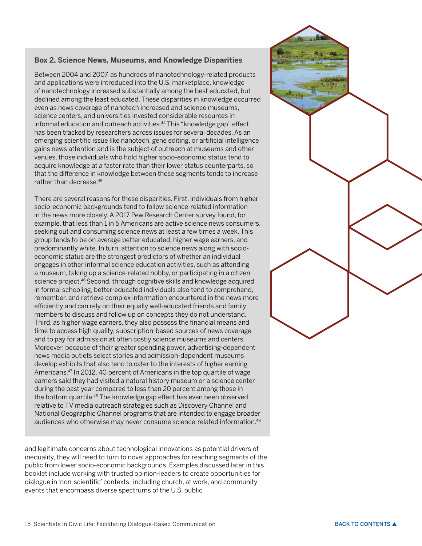#### **Box 2. Science News, Museums, and Knowledge Disparities**

Between 2004 and 2007, as hundreds of nanotechnology-related products and applications were introduced into the U.S. marketplace, knowledge of nanotechnology increased substantially among the best educated, but declined among the least educated. These disparities in knowledge occurred even as news coverage of nanotech increased and science museums, science centers, and universities invested considerable resources in informal education and outreach activities.<sup>44</sup> This "knowledge gap" effect has been tracked by researchers across issues for several decades. As an emerging scientific issue like nanotech, gene editing, or artificial intelligence gains news attention and is the subject of outreach at museums and other venues, those individuals who hold higher socio-economic status tend to acquire knowledge at a faster rate than their lower status counterparts, so that the difference in knowledge between these segments tends to increase rather than decrease.45

There are several reasons for these disparities. First, individuals from higher socio-economic backgrounds tend to follow science-related information in the news more closely. A 2017 Pew Research Center survey found, for example, that less than 1 in 5 Americans are active science news consumers, seeking out and consuming science news at least a few times a week. This group tends to be on average better educated, higher wage earners, and predominantly white. In turn, attention to science news along with socioeconomic status are the strongest predictors of whether an individual engages in other informal science education activities, such as attending a museum, taking up a science-related hobby, or participating in a citizen science project.46 Second, through cognitive skills and knowledge acquired in formal schooling, better-educated individuals also tend to comprehend, remember, and retrieve complex information encountered in the news more efficiently and can rely on their equally well-educated friends and family members to discuss and follow up on concepts they do not understand. Third, as higher wage earners, they also possess the financial means and time to access high quality, subscription-based sources of news coverage and to pay for admission at often costly science museums and centers. Moreover, because of their greater spending power, advertising-dependent news media outlets select stories and admission-dependent museums develop exhibits that also tend to cater to the interests of higher earning Americans.47 In 2012, 40 percent of Americans in the top quartile of wage earners said they had visited a natural history museum or a science center during the past year compared to less than 20 percent among those in the bottom quartile.<sup>48</sup> The knowledge gap effect has even been observed relative to TV media outreach strategies such as Discovery Channel and National Geographic Channel programs that are intended to engage broader audiences who otherwise may never consume science-related information.49

and legitimate concerns about technological innovations as potential drivers of inequality, they will need to turn to novel approaches for reaching segments of the public from lower socio-economic backgrounds. Examples discussed later in this booklet include working with trusted opinion-leaders to create opportunities for dialogue in 'non-scientific' contexts- including church, at work, and community events that encompass diverse spectrums of the U.S. public.

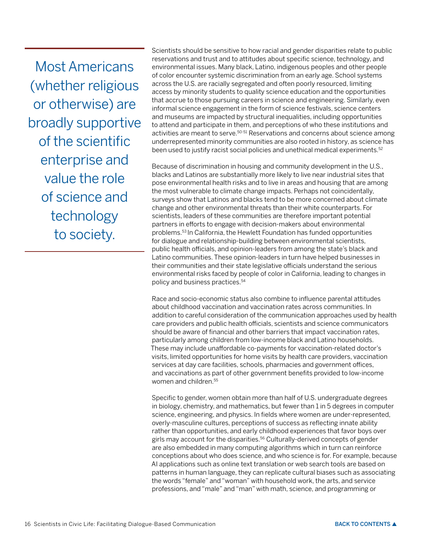Most Americans (whether religious or otherwise) are broadly supportive of the scientific enterprise and value the role of science and technology to society.

Scientists should be sensitive to how racial and gender disparities relate to public reservations and trust and to attitudes about specific science, technology, and environmental issues. Many black, Latino, indigenous peoples and other people of color encounter systemic discrimination from an early age. School systems across the U.S. are racially segregated and often poorly resourced, limiting access by minority students to quality science education and the opportunities that accrue to those pursuing careers in science and engineering. Similarly, even informal science engagement in the form of science festivals, science centers and museums are impacted by structural inequalities, including opportunities to attend and participate in them, and perceptions of who these institutions and activities are meant to serve.<sup>50-51</sup> Reservations and concerns about science among underrepresented minority communities are also rooted in history, as science has been used to justify racist social policies and unethical medical experiments.<sup>52</sup>

Because of discrimination in housing and community development in the U.S., blacks and Latinos are substantially more likely to live near industrial sites that pose environmental health risks and to live in areas and housing that are among the most vulnerable to climate change impacts. Perhaps not coincidentally, surveys show that Latinos and blacks tend to be more concerned about climate change and other environmental threats than their white counterparts. For scientists, leaders of these communities are therefore important potential partners in efforts to engage with decision-makers about environmental problems.53 In California, the Hewlett Foundation has funded opportunities for dialogue and relationship-building between environmental scientists, public health officials, and opinion-leaders from among the state's black and Latino communities. These opinion-leaders in turn have helped businesses in their communities and their state legislative officials understand the serious environmental risks faced by people of color in California, leading to changes in policy and business practices.54

Race and socio-economic status also combine to influence parental attitudes about childhood vaccination and vaccination rates across communities. In addition to careful consideration of the communication approaches used by health care providers and public health officials, scientists and science communicators should be aware of financial and other barriers that impact vaccination rates, particularly among children from low-income black and Latino households. These may include unaffordable co-payments for vaccination-related doctor's visits, limited opportunities for home visits by health care providers, vaccination services at day care facilities, schools, pharmacies and government offices, and vaccinations as part of other government benefits provided to low-income women and children<sup>55</sup>

Specific to gender, women obtain more than half of U.S. undergraduate degrees in biology, chemistry, and mathematics, but fewer than 1 in 5 degrees in computer science, engineering, and physics. In fields where women are under-represented, overly-masculine cultures, perceptions of success as reflecting innate ability rather than opportunities, and early childhood experiences that favor boys over girls may account for the disparities.<sup>56</sup> Culturally-derived concepts of gender are also embedded in many computing algorithms which in turn can reinforce conceptions about who does science, and who science is for. For example, because AI applications such as online text translation or web search tools are based on patterns in human language, they can replicate cultural biases such as associating the words "female" and "woman" with household work, the arts, and service professions, and "male" and "man" with math, science, and programming or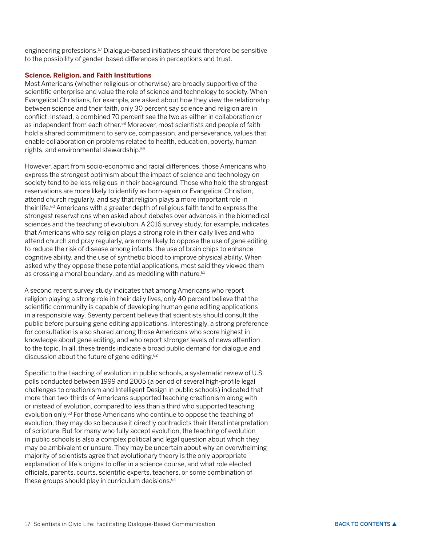engineering professions.57 Dialogue-based initiatives should therefore be sensitive to the possibility of gender-based differences in perceptions and trust.

#### **Science, Religion, and Faith Institutions**

Most Americans (whether religious or otherwise) are broadly supportive of the scientific enterprise and value the role of science and technology to society. When Evangelical Christians, for example, are asked about how they view the relationship between science and their faith, only 30 percent say science and religion are in conflict. Instead, a combined 70 percent see the two as either in collaboration or as independent from each other.<sup>58</sup> Moreover, most scientists and people of faith hold a shared commitment to service, compassion, and perseverance, values that enable collaboration on problems related to health, education, poverty, human rights, and environmental stewardship.59

However, apart from socio-economic and racial differences, those Americans who express the strongest optimism about the impact of science and technology on society tend to be less religious in their background. Those who hold the strongest reservations are more likely to identify as born-again or Evangelical Christian, attend church regularly, and say that religion plays a more important role in their life.<sup>60</sup> Americans with a greater depth of religious faith tend to express the strongest reservations when asked about debates over advances in the biomedical sciences and the teaching of evolution. A 2016 survey study, for example, indicates that Americans who say religion plays a strong role in their daily lives and who attend church and pray regularly, are more likely to oppose the use of gene editing to reduce the risk of disease among infants, the use of brain chips to enhance cognitive ability, and the use of synthetic blood to improve physical ability. When asked why they oppose these potential applications, most said they viewed them as crossing a moral boundary, and as meddling with nature.<sup>61</sup>

A second recent survey study indicates that among Americans who report religion playing a strong role in their daily lives, only 40 percent believe that the scientific community is capable of developing human gene editing applications in a responsible way. Seventy percent believe that scientists should consult the public before pursuing gene editing applications. Interestingly, a strong preference for consultation is also shared among those Americans who score highest in knowledge about gene editing, and who report stronger levels of news attention to the topic. In all, these trends indicate a broad public demand for dialogue and discussion about the future of gene editing.<sup>62</sup>

Specific to the teaching of evolution in public schools, a systematic review of U.S. polls conducted between 1999 and 2005 (a period of several high-profile legal challenges to creationism and Intelligent Design in public schools) indicated that more than two-thirds of Americans supported teaching creationism along with or instead of evolution, compared to less than a third who supported teaching evolution only.63 For those Americans who continue to oppose the teaching of evolution, they may do so because it directly contradicts their literal interpretation of scripture. But for many who fully accept evolution, the teaching of evolution in public schools is also a complex political and legal question about which they may be ambivalent or unsure. They may be uncertain about why an overwhelming majority of scientists agree that evolutionary theory is the only appropriate explanation of life's origins to offer in a science course, and what role elected officials, parents, courts, scientific experts, teachers, or some combination of these groups should play in curriculum decisions.<sup>64</sup>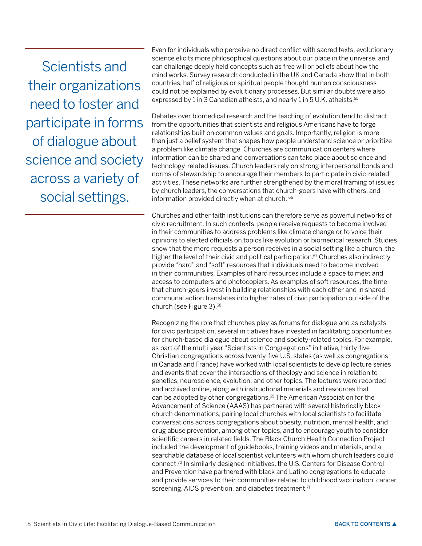Scientists and their organizations need to foster and participate in forms of dialogue about science and society across a variety of social settings.

Even for individuals who perceive no direct conflict with sacred texts, evolutionary science elicits more philosophical questions about our place in the universe, and can challenge deeply held concepts such as free will or beliefs about how the mind works. Survey research conducted in the UK and Canada show that in both countries, half of religious or spiritual people thought human consciousness could not be explained by evolutionary processes. But similar doubts were also expressed by 1 in 3 Canadian atheists, and nearly 1 in 5 U.K. atheists.<sup>65</sup>

Debates over biomedical research and the teaching of evolution tend to distract from the opportunities that scientists and religious Americans have to forge relationships built on common values and goals. Importantly, religion is more than just a belief system that shapes how people understand science or prioritize a problem like climate change. Churches are communication centers where information can be shared and conversations can take place about science and technology-related issues. Church leaders rely on strong interpersonal bonds and norms of stewardship to encourage their members to participate in civic-related activities. These networks are further strengthened by the moral framing of issues by church leaders, the conversations that church-goers have with others, and information provided directly when at church. <sup>66</sup>

Churches and other faith institutions can therefore serve as powerful networks of civic recruitment. In such contexts, people receive requests to become involved in their communities to address problems like climate change or to voice their opinions to elected officials on topics like evolution or biomedical research. Studies show that the more requests a person receives in a social setting like a church, the higher the level of their civic and political participation.<sup>67</sup> Churches also indirectly provide "hard" and "soft" resources that individuals need to become involved in their communities. Examples of hard resources include a space to meet and access to computers and photocopiers. As examples of soft resources, the time that church-goers invest in building relationships with each other and in shared communal action translates into higher rates of civic participation outside of the church (see Figure 3).<sup>68</sup>

Recognizing the role that churches play as forums for dialogue and as catalysts for civic participation, several initiatives have invested in facilitating opportunities for church-based dialogue about science and society-related topics. For example, as part of the multi-year "Scientists in Congregations" initiative, thirty-five Christian congregations across twenty-five U.S. states (as well as congregations in Canada and France) have worked with local scientists to develop lecture series and events that cover the intersections of theology and science in relation to genetics, neuroscience, evolution, and other topics. The lectures were recorded and archived online, along with instructional materials and resources that can be adopted by other congregations.<sup>69</sup> The American Association for the Advancement of Science (AAAS) has partnered with several historically black church denominations, pairing local churches with local scientists to facilitate conversations across congregations about obesity, nutrition, mental health, and drug abuse prevention, among other topics, and to encourage youth to consider scientific careers in related fields. The Black Church Health Connection Project included the development of guidebooks, training videos and materials, and a searchable database of local scientist volunteers with whom church leaders could connect.70 In similarly designed initiatives, the U.S. Centers for Disease Control and Prevention have partnered with black and Latino congregations to educate and provide services to their communities related to childhood vaccination, cancer screening, AIDS prevention, and diabetes treatment.<sup>71</sup>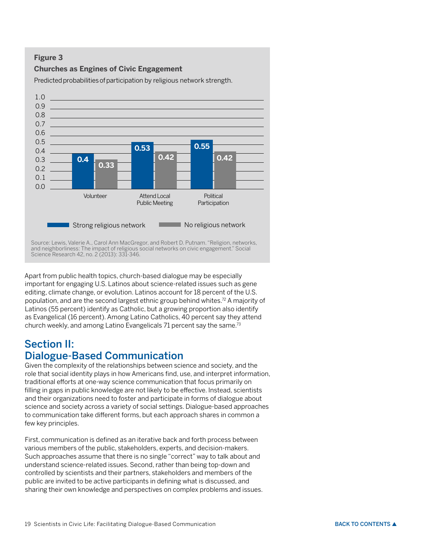

#### **Churches as Engines of Civic Engagement**

<span id="page-18-0"></span>**Figure 3**

Source: Lewis, Valerie A., Carol Ann MacGregor, and Robert D. Putnam. "Religion, networks, and neighborliness: The impact of religious social networks on civic engagement." Social Science Research 42, no. 2 (2013): 331-346.

Apart from public health topics, church-based dialogue may be especially important for engaging U.S. Latinos about science-related issues such as gene editing, climate change, or evolution. Latinos account for 18 percent of the U.S. population, and are the second largest ethnic group behind whites.72 A majority of Latinos (55 percent) identify as Catholic, but a growing proportion also identify as Evangelical (16 percent). Among Latino Catholics, 40 percent say they attend church weekly, and among Latino Evangelicals 71 percent say the same.73

### Section II: Dialogue-Based Communication

Given the complexity of the relationships between science and society, and the role that social identity plays in how Americans find, use, and interpret information, traditional efforts at one-way science communication that focus primarily on filling in gaps in public knowledge are not likely to be effective. Instead, scientists and their organizations need to foster and participate in forms of dialogue about science and society across a variety of social settings. Dialogue-based approaches to communication take different forms, but each approach shares in common a few key principles.

First, communication is defined as an iterative back and forth process between various members of the public, stakeholders, experts, and decision-makers. Such approaches assume that there is no single "correct" way to talk about and understand science-related issues. Second, rather than being top-down and controlled by scientists and their partners, stakeholders and members of the public are invited to be active participants in defining what is discussed, and sharing their own knowledge and perspectives on complex problems and issues.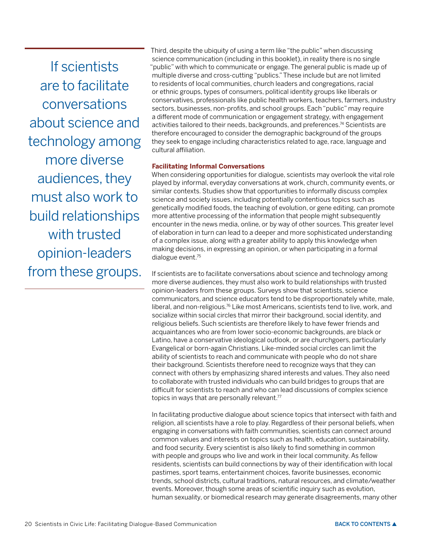If scientists are to facilitate conversations about science and technology among more diverse audiences, they must also work to build relationships with trusted opinion-leaders from these groups. Third, despite the ubiquity of using a term like "the public" when discussing science communication (including in this booklet), in reality there is no single "public" with which to communicate or engage. The general public is made up of multiple diverse and cross-cutting "publics." These include but are not limited to residents of local communities, church leaders and congregations, racial or ethnic groups, types of consumers, political identity groups like liberals or conservatives, professionals like public health workers, teachers, farmers, industry sectors, businesses, non-profits, and school groups. Each "public" may require a different mode of communication or engagement strategy, with engagement activities tailored to their needs, backgrounds, and preferences.<sup>74</sup> Scientists are therefore encouraged to consider the demographic background of the groups they seek to engage including characteristics related to age, race, language and cultural affiliation.

#### **Facilitating Informal Conversations**

When considering opportunities for dialogue, scientists may overlook the vital role played by informal, everyday conversations at work, church, community events, or similar contexts. Studies show that opportunities to informally discuss complex science and society issues, including potentially contentious topics such as genetically modified foods, the teaching of evolution, or gene editing, can promote more attentive processing of the information that people might subsequently encounter in the news media, online, or by way of other sources. This greater level of elaboration in turn can lead to a deeper and more sophisticated understanding of a complex issue, along with a greater ability to apply this knowledge when making decisions, in expressing an opinion, or when participating in a formal dialogue event.<sup>75</sup>

If scientists are to facilitate conversations about science and technology among more diverse audiences, they must also work to build relationships with trusted opinion-leaders from these groups. Surveys show that scientists, science communicators, and science educators tend to be disproportionately white, male, liberal, and non-religious.<sup>76</sup> Like most Americans, scientists tend to live, work, and socialize within social circles that mirror their background, social identity, and religious beliefs. Such scientists are therefore likely to have fewer friends and acquaintances who are from lower socio-economic backgrounds, are black or Latino, have a conservative ideological outlook, or are churchgoers, particularly Evangelical or born-again Christians. Like-minded social circles can limit the ability of scientists to reach and communicate with people who do not share their background. Scientists therefore need to recognize ways that they can connect with others by emphasizing shared interests and values. They also need to collaborate with trusted individuals who can build bridges to groups that are difficult for scientists to reach and who can lead discussions of complex science topics in ways that are personally relevant.<sup>77</sup>

In facilitating productive dialogue about science topics that intersect with faith and religion, all scientists have a role to play. Regardless of their personal beliefs, when engaging in conversations with faith communities, scientists can connect around common values and interests on topics such as health, education, sustainability, and food security. Every scientist is also likely to find something in common with people and groups who live and work in their local community. As fellow residents, scientists can build connections by way of their identification with local pastimes, sport teams, entertainment choices, favorite businesses, economic trends, school districts, cultural traditions, natural resources, and climate/weather events. Moreover, though some areas of scientific inquiry such as evolution, human sexuality, or biomedical research may generate disagreements, many other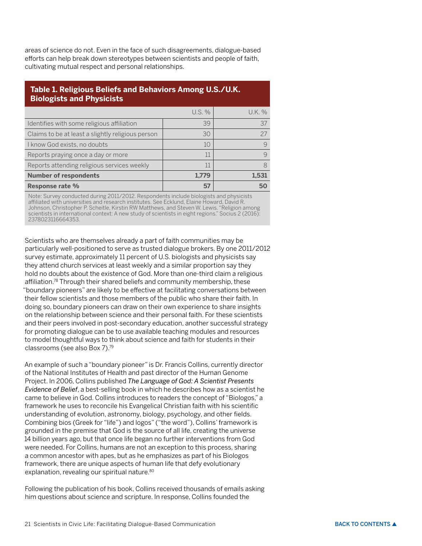areas of science do not. Even in the face of such disagreements, dialogue-based efforts can help break down stereotypes between scientists and people of faith, cultivating mutual respect and personal relationships.

#### **Table 1. Religious Beliefs and Behaviors Among U.S./U.K. Biologists and Physicists**

|                                                   | $U.S.$ % | U.K. % |
|---------------------------------------------------|----------|--------|
| Identifies with some religious affiliation        | 39       | 37     |
| Claims to be at least a slightly religious person | 30       | 27     |
| I know God exists, no doubts                      | 10       | q      |
| Reports praying once a day or more                | 11       |        |
| Reports attending religious services weekly       | 11       |        |
| <b>Number of respondents</b>                      | 1.779    | 1.531  |
| Response rate %                                   | 57       |        |

Note: Survey conducted during 2011/2012. Respondents include biologists and physicists affiliated with universities and research institutes. See Ecklund, Elaine Howard, David R. Johnson, Christopher P. Scheitle, Kirstin RW Matthews, and Steven W. Lewis. "Religion among scientists in international context: A new study of scientists in eight regions." Socius 2 (2016): 2378023116664353.

Scientists who are themselves already a part of faith communities may be particularly well-positioned to serve as trusted dialogue brokers. By one 2011/2012 survey estimate, approximately 11 percent of U.S. biologists and physicists say they attend church services at least weekly and a similar proportion say they hold no doubts about the existence of God. More than one-third claim a religious affiliation.78 Through their shared beliefs and community membership, these "boundary pioneers" are likely to be effective at facilitating conversations between their fellow scientists and those members of the public who share their faith. In doing so, boundary pioneers can draw on their own experience to share insights on the relationship between science and their personal faith. For these scientists and their peers involved in post-secondary education, another successful strategy for promoting dialogue can be to use available teaching modules and resources to model thoughtful ways to think about science and faith for students in their classrooms (see also Box 7).79

An example of such a "boundary pioneer" is Dr. Francis Collins, currently director of the National Institutes of Health and past director of the Human Genome Project. In 2006, Collins published *The Language of God: A Scientist Presents Evidence of Belief*, a best-selling book in which he describes how as a scientist he came to believe in God. Collins introduces to readers the concept of "Biologos," a framework he uses to reconcile his Evangelical Christian faith with his scientific understanding of evolution, astronomy, biology, psychology, and other fields. Combining bios (Greek for "life") and logos" ("the word"), Collins' framework is grounded in the premise that God is the source of all life, creating the universe 14 billion years ago, but that once life began no further interventions from God were needed. For Collins, humans are not an exception to this process, sharing a common ancestor with apes, but as he emphasizes as part of his Biologos framework, there are unique aspects of human life that defy evolutionary explanation, revealing our spiritual nature.<sup>80</sup>

Following the publication of his book, Collins received thousands of emails asking him questions about science and scripture. In response, Collins founded the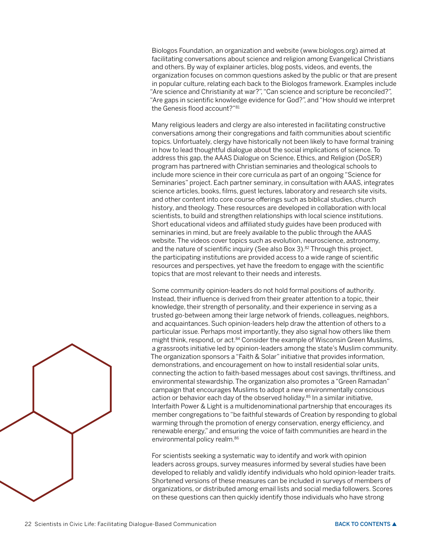Biologos Foundation, an organization and website (www.biologos.org) aimed at facilitating conversations about science and religion among Evangelical Christians and others. By way of explainer articles, blog posts, videos, and events, the organization focuses on common questions asked by the public or that are present in popular culture, relating each back to the Biologos framework. Examples include "Are science and Christianity at war?", "Can science and scripture be reconciled?", "Are gaps in scientific knowledge evidence for God?", and "How should we interpret the Genesis flood account?"<sup>81</sup>

Many religious leaders and clergy are also interested in facilitating constructive conversations among their congregations and faith communities about scientific topics. Unfortuately, clergy have historically not been likely to have formal training in how to lead thoughtful dialogue about the social implications of science. To address this gap, the AAAS Dialogue on Science, Ethics, and Religion (DoSER) program has partnered with Christian seminaries and theological schools to include more science in their core curricula as part of an ongoing "Science for Seminaries" project. Each partner seminary, in consultation with AAAS, integrates science articles, books, films, guest lectures, laboratory and research site visits, and other content into core course offerings such as biblical studies, church history, and theology. These resources are developed in collaboration with local scientists, to build and strengthen relationships with local science institutions. Short educational videos and affiliated study guides have been produced with seminaries in mind, but are freely available to the public through the AAAS website. The videos cover topics such as evolution, neuroscience, astronomy, and the nature of scientific inquiry (See also Box  $3$ ).<sup>82</sup> Through this project, the participating institutions are provided access to a wide range of scientific resources and perspectives, yet have the freedom to engage with the scientific topics that are most relevant to their needs and interests.

Some community opinion-leaders do not hold formal positions of authority. Instead, their influence is derived from their greater attention to a topic, their knowledge, their strength of personality, and their experience in serving as a trusted go-between among their large network of friends, colleagues, neighbors, and acquaintances. Such opinion-leaders help draw the attention of others to a particular issue. Perhaps most importantly, they also signal how others like them might think, respond, or act.<sup>84</sup> Consider the example of Wisconsin Green Muslims, a grassroots initiative led by opinion-leaders among the state's Muslim community. The organization sponsors a "Faith & Solar" initiative that provides information, demonstrations, and encouragement on how to install residential solar units, connecting the action to faith-based messages about cost savings, thriftiness, and environmental stewardship. The organization also promotes a "Green Ramadan" campaign that encourages Muslims to adopt a new environmentally conscious action or behavior each day of the observed holiday.<sup>85</sup> In a similar initiative, Interfaith Power & Light is a multidenominational partnership that encourages its member congregations to "be faithful stewards of Creation by responding to global warming through the promotion of energy conservation, energy efficiency, and renewable energy," and ensuring the voice of faith communities are heard in the environmental policy realm.<sup>86</sup>

For scientists seeking a systematic way to identify and work with opinion leaders across groups, survey measures informed by several studies have been developed to reliably and validly identify individuals who hold opinion-leader traits. Shortened versions of these measures can be included in surveys of members of organizations, or distributed among email lists and social media followers. Scores on these questions can then quickly identify those individuals who have strong

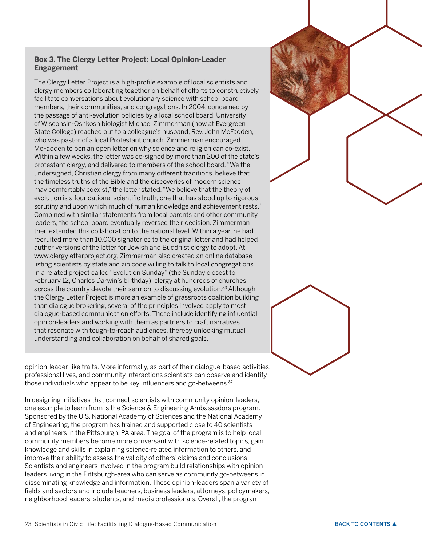#### **Box 3. The Clergy Letter Project: Local Opinion-Leader Engagement**

The Clergy Letter Project is a high-profile example of local scientists and clergy members collaborating together on behalf of efforts to constructively facilitate conversations about evolutionary science with school board members, their communities, and congregations. In 2004, concerned by the passage of anti-evolution policies by a local school board, University of Wisconsin-Oshkosh biologist Michael Zimmerman (now at Evergreen State College) reached out to a colleague's husband, Rev. John McFadden, who was pastor of a local Protestant church. Zimmerman encouraged McFadden to pen an open letter on why science and religion can co-exist. Within a few weeks, the letter was co-signed by more than 200 of the state's protestant clergy, and delivered to members of the school board. "We the undersigned, Christian clergy from many different traditions, believe that the timeless truths of the Bible and the discoveries of modern science may comfortably coexist," the letter stated. "We believe that the theory of evolution is a foundational scientific truth, one that has stood up to rigorous scrutiny and upon which much of human knowledge and achievement rests." Combined with similar statements from local parents and other community leaders, the school board eventually reversed their decision. Zimmerman then extended this collaboration to the national level. Within a year, he had recruited more than 10,000 signatories to the original letter and had helped author versions of the letter for Jewish and Buddhist clergy to adopt. At www.clergyletterproject.org, Zimmerman also created an online database listing scientists by state and zip code willing to talk to local congregations. In a related project called "Evolution Sunday" (the Sunday closest to February 12, Charles Darwin's birthday), clergy at hundreds of churches across the country devote their sermon to discussing evolution.<sup>83</sup> Although the Clergy Letter Project is more an example of grassroots coalition building than dialogue brokering, several of the principles involved apply to most dialogue-based communication efforts. These include identifying influential opinion-leaders and working with them as partners to craft narratives that resonate with tough-to-reach audiences, thereby unlocking mutual understanding and collaboration on behalf of shared goals.

opinion-leader-like traits. More informally, as part of their dialogue-based activities, professional lives, and community interactions scientists can observe and identify those individuals who appear to be key influencers and go-betweens.<sup>87</sup>

In designing initiatives that connect scientists with community opinion-leaders, one example to learn from is the Science & Engineering Ambassadors program. Sponsored by the U.S. National Academy of Sciences and the National Academy of Engineering, the program has trained and supported close to 40 scientists and engineers in the Pittsburgh, PA area. The goal of the program is to help local community members become more conversant with science-related topics, gain knowledge and skills in explaining science-related information to others, and improve their ability to assess the validity of others' claims and conclusions. Scientists and engineers involved in the program build relationships with opinionleaders living in the Pittsburgh-area who can serve as community go-betweens in disseminating knowledge and information. These opinion-leaders span a variety of fields and sectors and include teachers, business leaders, attorneys, policymakers, neighborhood leaders, students, and media professionals. Overall, the program



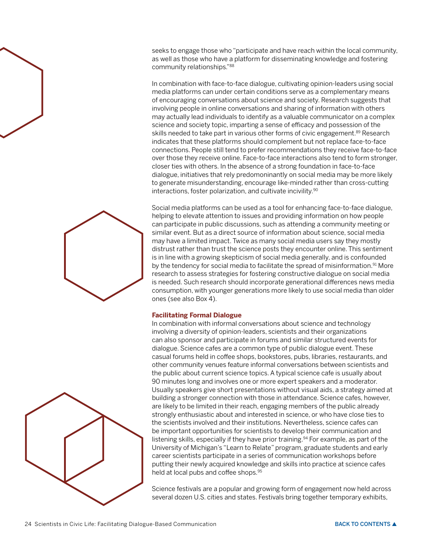seeks to engage those who "participate and have reach within the local community, as well as those who have a platform for disseminating knowledge and fostering community relationships."88

In combination with face-to-face dialogue, cultivating opinion-leaders using social media platforms can under certain conditions serve as a complementary means of encouraging conversations about science and society. Research suggests that involving people in online conversations and sharing of information with others may actually lead individuals to identify as a valuable communicator on a complex science and society topic, imparting a sense of efficacy and possession of the skills needed to take part in various other forms of civic engagement.<sup>89</sup> Research indicates that these platforms should complement but not replace face-to-face connections. People still tend to prefer recommendations they receive face-to-face over those they receive online. Face-to-face interactions also tend to form stronger, closer ties with others. In the absence of a strong foundation in face-to-face dialogue, initiatives that rely predomoninantly on social media may be more likely to generate misunderstanding, encourage like-minded rather than cross-cutting interactions, foster polarization, and cultivate incivility.<sup>90</sup>

Social media platforms can be used as a tool for enhancing face-to-face dialogue, helping to elevate attention to issues and providing information on how people can participate in public discussions, such as attending a community meeting or similar event. But as a direct source of information about science, social media may have a limited impact. Twice as many social media users say they mostly distrust rather than trust the science posts they encounter online. This sentiment is in line with a growing skepticism of social media generally, and is confounded by the tendency for social media to facilitate the spread of misinformation. $91$  More research to assess strategies for fostering constructive dialogue on social media is needed. Such research should incorporate generational differences news media consumption, with younger generations more likely to use social media than older ones (see also Box 4).

#### **Facilitating Formal Dialogue**

In combination with informal conversations about science and technology involving a diversity of opinion-leaders, scientists and their organizations can also sponsor and participate in forums and similar structured events for dialogue. Science cafes are a common type of public dialogue event. These casual forums held in coffee shops, bookstores, pubs, libraries, restaurants, and other community venues feature informal conversations between scientists and the public about current science topics. A typical science cafe is usually about 90 minutes long and involves one or more expert speakers and a moderator. Usually speakers give short presentations without visual aids, a strategy aimed at building a stronger connection with those in attendance. Science cafes, however, are likely to be limited in their reach, engaging members of the public already strongly enthusiastic about and interested in science, or who have close ties to the scientists involved and their institutions. Nevertheless, science cafes can be important opportunities for scientists to develop their communication and listening skills, especially if they have prior training.<sup>94</sup> For example, as part of the University of Michigan's "Learn to Relate" program, graduate students and early career scientists participate in a series of communication workshops before putting their newly acquired knowledge and skills into practice at science cafes held at local pubs and coffee shops.<sup>95</sup>

Science festivals are a popular and growing form of engagement now held across several dozen U.S. cities and states. Festivals bring together temporary exhibits,



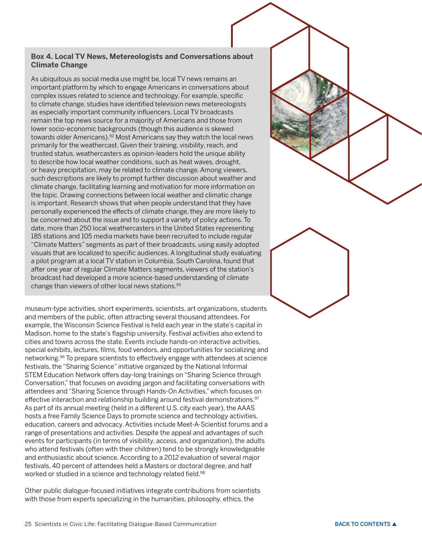#### **Box 4. Local TV News, Metereologists and Conversations about Climate Change**

As ubiquitous as social media use might be, local TV news remains an important platform by which to engage Americans in conversations about complex issues related to science and technology. For example, specific to climate change, studies have identified television news metereologists as especially important community influencers. Local TV broadcasts remain the top news source for a majority of Americans and those from lower socio-economic backgrounds (though this audience is skewed towards older Americans).<sup>92</sup> Most Americans say they watch the local news primarily for the weathercast. Given their training, visibility, reach, and trusted status, weathercasters as opinion-leaders hold the unique ability to describe how local weather conditions, such as heat waves, drought, or heavy precipitation, may be related to climate change. Among viewers, such descriptions are likely to prompt further discussion about weather and climate change, facilitating learning and motivation for more information on the topic. Drawing connections between local weather and climatic change is important. Research shows that when people understand that they have personally experienced the effects of climate change, they are more likely to be concerned about the issue and to support a variety of policy actions. To date, more than 250 local weathercasters in the United States representing 185 stations and 105 media markets have been recruited to include regular "Climate Matters" segments as part of their broadcasts, using easily adopted visuals that are localized to specific audiences. A longitudinal study evaluating a pilot program at a local TV station in Columbia, South Carolina, found that after one year of regular Climate Matters segments, viewers of the station's broadcast had developed a more science-based understanding of climate change than viewers of other local news stations.<sup>93</sup>

museum-type activities, short experiments, scientists, art organizations, students and members of the public, often attracting several thousand attendees. For example, the Wisconsin Science Festival is held each year in the state's capital in Madison, home to the state's flagship university. Festival activities also extend to cities and towns across the state. Events include hands-on interactive activities, special exhibits, lectures, films, food vendors, and opportunities for socializing and networking.96 To prepare scientists to effectively engage with attendees at science festivals, the "Sharing Science" initiative organized by the National Informal STEM Education Network offers day-long trainings on "Sharing Science through Conversation," that focuses on avoiding jargon and facilitating conversations with attendees and "Sharing Science through Hands-On Activities," which focuses on effective interaction and relationship building around festival demonstrations. $97$ As part of its annual meeting (held in a different U.S. city each year), the AAAS hosts a free Family Science Days to promote science and technology activities, education, careers and advocacy. Activities include Meet-A-Scientist forums and a range of presentations and activities. Despite the appeal and advantages of such events for participants (in terms of visibility, access, and organization), the adults who attend festivals (often with their children) tend to be strongly knowledgeable and enthusiastic about science. According to a 2012 evaluation of several major festivals, 40 percent of attendees held a Masters or doctoral degree, and half worked or studied in a science and technology related field.<sup>98</sup>

Other public dialogue-focused initiatives integrate contributions from scientists with those from experts specializing in the humanities, philosophy, ethics, the

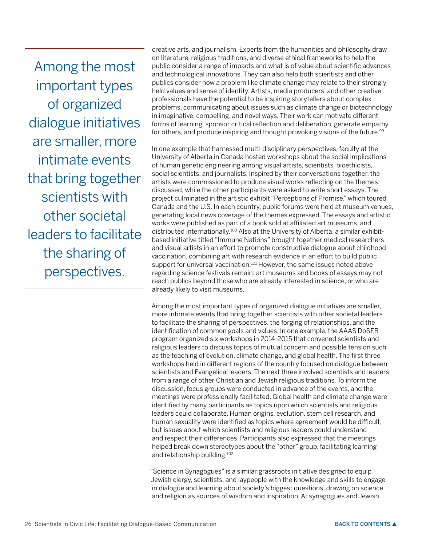Among the most important types of organized dialogue initiatives are smaller, more intimate events that bring together scientists with other societal leaders to facilitate the sharing of perspectives.

creative arts, and journalism. Experts from the humanities and philosophy draw on literature, religious traditions, and diverse ethical frameworks to help the public consider a range of impacts and what is of value about scientific advances and technological innovations. They can also help both scientists and other publics consider how a problem like climate change may relate to their strongly held values and sense of identity. Artists, media producers, and other creative professionals have the potential to be inspiring storytellers about complex problems, communicating about issues such as climate change or biotechnology in imaginative, compelling, and novel ways. Their work can motivate different forms of learning, sponsor critical reflection and deliberation, generate empathy for others, and produce inspiring and thought provoking visions of the future.<sup>99</sup>

In one example that harnessed multi-disciplinary perspectives, faculty at the University of Alberta in Canada hosted workshops about the social implications of human genetic engineering among visual artists, scientists, bioethicists, social scientists, and journalists. Inspired by their conversations together, the artists were commissioned to produce visual works reflecting on the themes discussed, while the other participants were asked to write short essays. The project culminated in the artistic exhibit "Perceptions of Promise," which toured Canada and the U.S. In each country, public forums were held at museum venues, generating local news coverage of the themes expressed. The essays and artistic works were published as part of a book sold at affiliated art museums, and distributed internationally.100 Also at the University of Alberta, a similar exhibitbased initiative titled "Immune Nations" brought together medical researchers and visual artists in an effort to promote constructive dialogue about childhood vaccination, combining art with research evidence in an effort to build public support for universal vaccination.<sup>101</sup> However, the same issues noted above regarding science festivals remain: art museums and books of essays may not reach publics beyond those who are already interested in science, or who are already likely to visit museums.

Among the most important types of organized dialogue initiatives are smaller, more intimate events that bring together scientists with other societal leaders to facilitate the sharing of perspectives, the forging of relationships, and the identification of common goals and values. In one example, the AAAS DoSER program organized six workshops in 2014-2015 that convened scientists and religious leaders to discuss topics of mutual concern and possible tension such as the teaching of evolution, climate change, and global health. The first three workshops held in different regions of the country focused on dialogue between scientists and Evangelical leaders. The next three involved scientists and leaders from a range of other Christian and Jewish religious traditions. To inform the discussion, focus groups were conducted in advance of the events, and the meetings were professionally facilitated. Global health and climate change were identified by many participants as topics upon which scientists and religious leaders could collaborate. Human origins, evolution, stem cell research, and human sexuality were identified as topics where agreement would be difficult, but issues about which scientists and religious leaders could understand and respect their differences. Participants also expressed that the meetings helped break down stereotypes about the "other" group, facilitating learning and relationship building.<sup>102</sup>

"Science in Synagogues" is a similar grassroots initiative designed to equip Jewish clergy, scientists, and laypeople with the knowledge and skills to engage in dialogue and learning about society's biggest questions, drawing on science and religion as sources of wisdom and inspiration. At synagogues and Jewish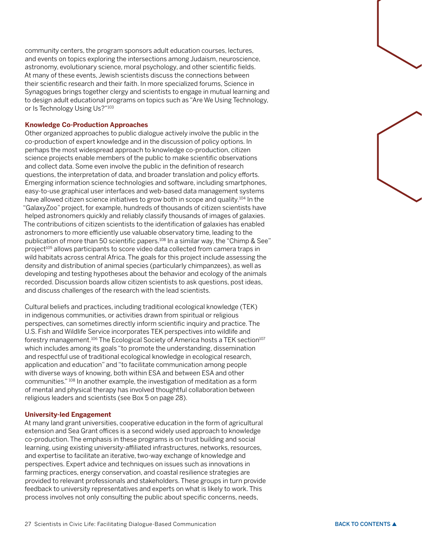community centers, the program sponsors adult education courses, lectures, and events on topics exploring the intersections among Judaism, neuroscience, astronomy, evolutionary science, moral psychology, and other scientific fields. At many of these events, Jewish scientists discuss the connections between their scientific research and their faith. In more specialized forums, Science in Synagogues brings together clergy and scientists to engage in mutual learning and to design adult educational programs on topics such as "Are We Using Technology, or Is Technology Using Us?"103

#### **Knowledge Co-Production Approaches**

Other organized approaches to public dialogue actively involve the public in the co-production of expert knowledge and in the discussion of policy options. In perhaps the most widespread approach to knowledge co-production, citizen science projects enable members of the public to make scientific observations and collect data. Some even involve the public in the definition of research questions, the interpretation of data, and broader translation and policy efforts. Emerging information science technologies and software, including smartphones, easy-to-use graphical user interfaces and web-based data management systems have allowed citizen science initiatives to grow both in scope and quality.<sup>104</sup> In the "GalaxyZoo" project, for example, hundreds of thousands of citizen scientists have helped astronomers quickly and reliably classify thousands of images of galaxies. The contributions of citizen scientists to the identification of galaxies has enabled astronomers to more efficiently use valuable observatory time, leading to the publication of more than 50 scientific papers.<sup>108</sup> In a similar way, the "Chimp & See" project<sup>105</sup> allows participants to score video data collected from camera traps in wild habitats across central Africa. The goals for this project include assessing the density and distribution of animal species (particularly chimpanzees), as well as developing and testing hypotheses about the behavior and ecology of the animals recorded. Discussion boards allow citizen scientists to ask questions, post ideas, and discuss challenges of the research with the lead scientists.

Cultural beliefs and practices, including traditional ecological knowledge (TEK) in indigenous communities, or activities drawn from spiritual or religious perspectives, can sometimes directly inform scientific inquiry and practice. The U.S. Fish and Wildlife Service incorporates TEK perspectives into wildlife and forestry management.<sup>106</sup> The Ecological Society of America hosts a TEK section<sup>107</sup> which includes among its goals "to promote the understanding, dissemination and respectful use of traditional ecological knowledge in ecological research, application and education" and "to facilitate communication among people with diverse ways of knowing, both within ESA and between ESA and other communities." 108 In another example, the investigation of meditation as a form of mental and physical therapy has involved thoughtful collaboration between religious leaders and scientists (see Box 5 on page 28).

#### **University-led Engagement**

At many land grant universities, cooperative education in the form of agricultural extension and Sea Grant offices is a second widely used approach to knowledge co-production. The emphasis in these programs is on trust building and social learning, using existing university-affiliated infrastructures, networks, resources, and expertise to facilitate an iterative, two-way exchange of knowledge and perspectives. Expert advice and techniques on issues such as innovations in farming practices, energy conservation, and coastal resilience strategies are provided to relevant professionals and stakeholders. These groups in turn provide feedback to university representatives and experts on what is likely to work. This process involves not only consulting the public about specific concerns, needs,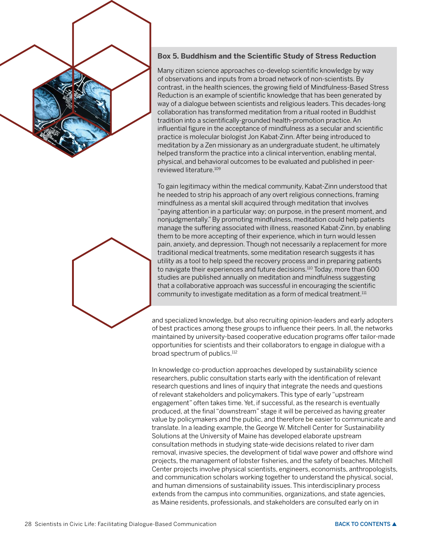



#### **Box 5. Buddhism and the Scientific Study of Stress Reduction**

Many citizen science approaches co-develop scientific knowledge by way of observations and inputs from a broad network of non-scientists. By contrast, in the health sciences, the growing field of Mindfulness-Based Stress Reduction is an example of scientific knowledge that has been generated by way of a dialogue between scientists and religious leaders. This decades-long collaboration has transformed meditation from a ritual rooted in Buddhist tradition into a scientifically-grounded health-promotion practice. An influential figure in the acceptance of mindfulness as a secular and scientific practice is molecular biologist Jon Kabat-Zinn. After being introduced to meditation by a Zen missionary as an undergraduate student, he ultimately helped transform the practice into a clinical intervention, enabling mental, physical, and behavioral outcomes to be evaluated and published in peerreviewed literature.109

To gain legitimacy within the medical community, Kabat-Zinn understood that he needed to strip his approach of any overt religious connections, framing mindfulness as a mental skill acquired through meditation that involves "paying attention in a particular way; on purpose, in the present moment, and nonjudgmentally." By promoting mindfulness, meditation could help patients manage the suffering associated with illness, reasoned Kabat-Zinn, by enabling them to be more accepting of their experience, which in turn would lessen pain, anxiety, and depression. Though not necessarily a replacement for more traditional medical treatments, some meditation research suggests it has utility as a tool to help speed the recovery process and in preparing patients to navigate their experiences and future decisions.<sup>110</sup> Today, more than 600 studies are published annually on meditation and mindfulness suggesting that a collaborative approach was successful in encouraging the scientific community to investigate meditation as a form of medical treatment.<sup>111</sup>

and specialized knowledge, but also recruiting opinion-leaders and early adopters of best practices among these groups to influence their peers. In all, the networks maintained by university-based cooperative education programs offer tailor-made opportunities for scientists and their collaborators to engage in dialogue with a broad spectrum of publics.<sup>112</sup>

In knowledge co-production approaches developed by sustainability science researchers, public consultation starts early with the identification of relevant research questions and lines of inquiry that integrate the needs and questions of relevant stakeholders and policymakers. This type of early "upstream engagement" often takes time. Yet, if successful, as the research is eventually produced, at the final "downstream" stage it will be perceived as having greater value by policymakers and the public, and therefore be easier to communicate and translate. In a leading example, the George W. Mitchell Center for Sustainability Solutions at the University of Maine has developed elaborate upstream consultation methods in studying state-wide decisions related to river dam removal, invasive species, the development of tidal wave power and offshore wind projects, the management of lobster fisheries, and the safety of beaches. Mitchell Center projects involve physical scientists, engineers, economists, anthropologists, and communication scholars working together to understand the physical, social, and human dimensions of sustainability issues. This interdisciplinary process extends from the campus into communities, organizations, and state agencies, as Maine residents, professionals, and stakeholders are consulted early on in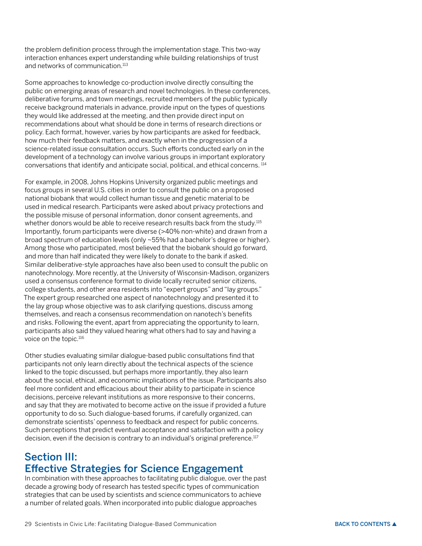<span id="page-28-0"></span>the problem definition process through the implementation stage. This two-way interaction enhances expert understanding while building relationships of trust and networks of communication.<sup>113</sup>

Some approaches to knowledge co-production involve directly consulting the public on emerging areas of research and novel technologies. In these conferences, deliberative forums, and town meetings, recruited members of the public typically receive background materials in advance, provide input on the types of questions they would like addressed at the meeting, and then provide direct input on recommendations about what should be done in terms of research directions or policy. Each format, however, varies by how participants are asked for feedback, how much their feedback matters, and exactly when in the progression of a science-related issue consultation occurs. Such efforts conducted early on in the development of a technology can involve various groups in important exploratory conversations that identify and anticipate social, political, and ethical concerns. 114

For example, in 2008, Johns Hopkins University organized public meetings and focus groups in several U.S. cities in order to consult the public on a proposed national biobank that would collect human tissue and genetic material to be used in medical research. Participants were asked about privacy protections and the possible misuse of personal information, donor consent agreements, and whether donors would be able to receive research results back from the study.<sup>115</sup> Importantly, forum participants were diverse (>40% non-white) and drawn from a broad spectrum of education levels (only ~55% had a bachelor's degree or higher). Among those who participated, most believed that the biobank should go forward, and more than half indicated they were likely to donate to the bank if asked. Similar deliberative-style approaches have also been used to consult the public on nanotechnology. More recently, at the University of Wisconsin-Madison, organizers used a consensus conference format to divide locally recruited senior citizens, college students, and other area residents into "expert groups" and "lay groups." The expert group researched one aspect of nanotechnology and presented it to the lay group whose objective was to ask clarifying questions, discuss among themselves, and reach a consensus recommendation on nanotech's benefits and risks. Following the event, apart from appreciating the opportunity to learn, participants also said they valued hearing what others had to say and having a voice on the topic.<sup>116</sup>

Other studies evaluating similar dialogue-based public consultations find that participants not only learn directly about the technical aspects of the science linked to the topic discussed, but perhaps more importantly, they also learn about the social, ethical, and economic implications of the issue. Participants also feel more confident and efficacious about their ability to participate in science decisions, perceive relevant institutions as more responsive to their concerns, and say that they are motivated to become active on the issue if provided a future opportunity to do so. Such dialogue-based forums, if carefully organized, can demonstrate scientists' openness to feedback and respect for public concerns. Such perceptions that predict eventual acceptance and satisfaction with a policy decision, even if the decision is contrary to an individual's original preference. $117$ 

### Section III: Effective Strategies for Science Engagement

In combination with these approaches to facilitating public dialogue, over the past decade a growing body of research has tested specific types of communication strategies that can be used by scientists and science communicators to achieve a number of related goals. When incorporated into public dialogue approaches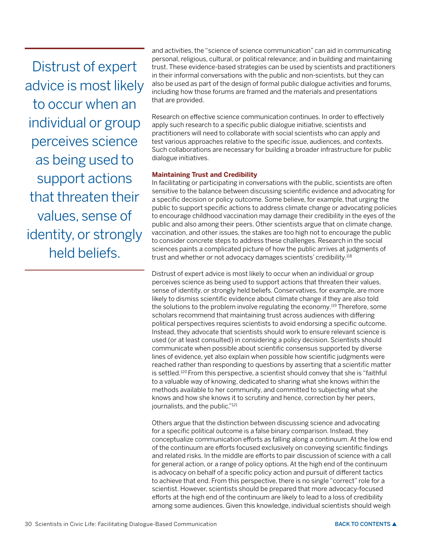Distrust of expert advice is most likely to occur when an individual or group perceives science as being used to support actions that threaten their values, sense of identity, or strongly held beliefs.

and activities, the "science of science communication" can aid in communicating personal, religious, cultural, or political relevance; and in building and maintaining trust. These evidence-based strategies can be used by scientists and practitioners in their informal conversations with the public and non-scientists, but they can also be used as part of the design of formal public dialogue activities and forums, including how those forums are framed and the materials and presentations that are provided.

Research on effective science communication continues. In order to effectively apply such research to a specific public dialogue initiative, scientists and practitioners will need to collaborate with social scientists who can apply and test various approaches relative to the specific issue, audiences, and contexts. Such collaborations are necessary for building a broader infrastructure for public dialogue initiatives.

#### **Maintaining Trust and Credibility**

In facilitating or participating in conversations with the public, scientists are often sensitive to the balance between discussing scientific evidence and advocating for a specific decision or policy outcome. Some believe, for example, that urging the public to support specific actions to address climate change or advocating policies to encourage childhood vaccination may damage their credibility in the eyes of the public and also among their peers. Other scientists argue that on climate change, vaccination, and other issues, the stakes are too high not to encourage the public to consider concrete steps to address these challenges. Research in the social sciences paints a complicated picture of how the public arrives at judgments of trust and whether or not advocacy damages scientists' credibility.<sup>118</sup>

Distrust of expert advice is most likely to occur when an individual or group perceives science as being used to support actions that threaten their values, sense of identity, or strongly held beliefs. Conservatives, for example, are more likely to dismiss scientific evidence about climate change if they are also told the solutions to the problem involve regulating the economy.<sup>119</sup> Therefore, some scholars recommend that maintaining trust across audiences with differing political perspectives requires scientists to avoid endorsing a specific outcome. Instead, they advocate that scientists should work to ensure relevant science is used (or at least consulted) in considering a policy decision. Scientists should communicate when possible about scientific consensus supported by diverse lines of evidence, yet also explain when possible how scientific judgments were reached rather than responding to questions by asserting that a scientific matter is settled.<sup>120</sup> From this perspective, a scientist should convey that she is "faithful to a valuable way of knowing, dedicated to sharing what she knows within the methods available to her community, and committed to subjecting what she knows and how she knows it to scrutiny and hence, correction by her peers, journalists, and the public."<sup>121</sup>

Others argue that the distinction between discussing science and advocating for a specific political outcome is a false binary comparison. Instead, they conceptualize communication efforts as falling along a continuum. At the low end of the continuum are efforts focused exclusively on conveying scientific findings and related risks. In the middle are efforts to pair discussion of science with a call for general action, or a range of policy options. At the high end of the continuum is advocacy on behalf of a specific policy action and pursuit of different tactics to achieve that end. From this perspective, there is no single "correct" role for a scientist. However, scientists should be prepared that more advocacy-focused efforts at the high end of the continuum are likely to lead to a loss of credibility among some audiences. Given this knowledge, individual scientists should weigh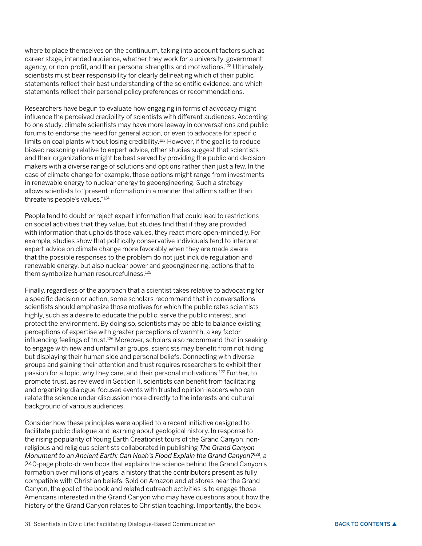where to place themselves on the continuum, taking into account factors such as career stage, intended audience, whether they work for a university, government agency, or non-profit, and their personal strengths and motivations.<sup>122</sup> Ultimately, scientists must bear responsibility for clearly delineating which of their public statements reflect their best understanding of the scientific evidence, and which statements reflect their personal policy preferences or recommendations.

Researchers have begun to evaluate how engaging in forms of advocacy might influence the perceived credibility of scientists with different audiences. According to one study, climate scientists may have more leeway in conversations and public forums to endorse the need for general action, or even to advocate for specific limits on coal plants without losing credibility.123 However, if the goal is to reduce biased reasoning relative to expert advice, other studies suggest that scientists and their organizations might be best served by providing the public and decisionmakers with a diverse range of solutions and options rather than just a few. In the case of climate change for example, those options might range from investments in renewable energy to nuclear energy to geoengineering. Such a strategy allows scientists to "present information in a manner that affirms rather than threatens people's values."124

People tend to doubt or reject expert information that could lead to restrictions on social activities that they value, but studies find that if they are provided with information that upholds those values, they react more open-mindedly. For example, studies show that politically conservative individuals tend to interpret expert advice on climate change more favorably when they are made aware that the possible responses to the problem do not just include regulation and renewable energy, but also nuclear power and geoengineering, actions that to them symbolize human resourcefulness.<sup>125</sup>

Finally, regardless of the approach that a scientist takes relative to advocating for a specific decision or action, some scholars recommend that in conversations scientists should emphasize those motives for which the public rates scientists highly, such as a desire to educate the public, serve the public interest, and protect the environment. By doing so, scientists may be able to balance existing perceptions of expertise with greater perceptions of warmth, a key factor influencing feelings of trust.<sup>126</sup> Moreover, scholars also recommend that in seeking to engage with new and unfamiliar groups, scientists may benefit from not hiding but displaying their human side and personal beliefs. Connecting with diverse groups and gaining their attention and trust requires researchers to exhibit their passion for a topic, why they care, and their personal motivations.127 Further, to promote trust, as reviewed in Section II, scientists can benefit from facilitating and organizing dialogue-focused events with trusted opinion-leaders who can relate the science under discussion more directly to the interests and cultural background of various audiences.

Consider how these principles were applied to a recent initiative designed to facilitate public dialogue and learning about geological history. In response to the rising popularity of Young Earth Creationist tours of the Grand Canyon, nonreligious and religious scientists collaborated in publishing *The Grand Canyon Monument to an Ancient Earth: Can Noah's Flood Explain the Grand Canyon?*128, a 240-page photo-driven book that explains the science behind the Grand Canyon's formation over millions of years, a history that the contributors present as fully compatible with Christian beliefs. Sold on Amazon and at stores near the Grand Canyon, the goal of the book and related outreach activities is to engage those Americans interested in the Grand Canyon who may have questions about how the history of the Grand Canyon relates to Christian teaching. Importantly, the book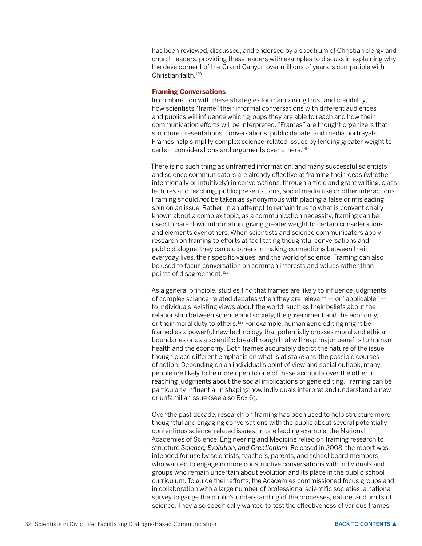has been reviewed, discussed, and endorsed by a spectrum of Christian clergy and church leaders, providing these leaders with examples to discuss in explaining why the development of the Grand Canyon over millions of years is compatible with Christian faith<sup>129</sup>

#### **Framing Conversations**

In combination with these strategies for maintaining trust and credibility, how scientists "frame" their informal conversations with different audiences and publics will influence which groups they are able to reach and how their communication efforts will be interpreted. "Frames" are thought organizers that structure presentations, conversations, public debate, and media portrayals. Frames help simplify complex science-related issues by lending greater weight to certain considerations and arguments over others.130

There is no such thing as unframed information, and many successful scientists and science communicators are already effective at framing their ideas (whether intentionally or intuitively) in conversations, through article and grant writing, class lectures and teaching, public presentations, social media use or other interactions. Framing should *not* be taken as synonymous with placing a false or misleading spin on an issue. Rather, in an attempt to remain true to what is conventionally known about a complex topic, as a communication necessity, framing can be used to pare down information, giving greater weight to certain considerations and elements over others. When scientists and science communicators apply research on framing to efforts at facilitating thoughtful conversations and public dialogue, they can aid others in making connections between their everyday lives, their specific values, and the world of science. Framing can also be used to focus conversation on common interests and values rather than points of disagreement.<sup>131</sup>

As a general principle, studies find that frames are likely to influence judgments of complex science-related debates when they are relevant  $-$  or "applicable" to individuals' existing views about the world, such as their beliefs about the relationship between science and society, the government and the economy, or their moral duty to others.<sup>132</sup> For example, human gene editing might be framed as a powerful new technology that potentially crosses moral and ethical boundaries or as a scientific breakthrough that will reap major benefits to human health and the economy. Both frames accurately depict the nature of the issue, though place different emphasis on what is at stake and the possible courses of action. Depending on an individual's point of view and social outlook, many people are likely to be more open to one of these accounts over the other in reaching judgments about the social implications of gene editing. Framing can be particularly influential in shaping how individuals interpret and understand a new or unfamiliar issue (see also Box 6).

Over the past decade, research on framing has been used to help structure more thoughtful and engaging conversations with the public about several potentially contentious science-related issues. In one leading example, the National Academies of Science, Engineering and Medicine relied on framing research to structure *Science, Evolution, and Creationism*. Released in 2008, the report was intended for use by scientists, teachers, parents, and school board members who wanted to engage in more constructive conversations with individuals and groups who remain uncertain about evolution and its place in the public school curriculum. To guide their efforts, the Academies commissioned focus groups and, in collaboration with a large number of professional scientific societies, a national survey to gauge the public's understanding of the processes, nature, and limits of science. They also specifically wanted to test the effectiveness of various frames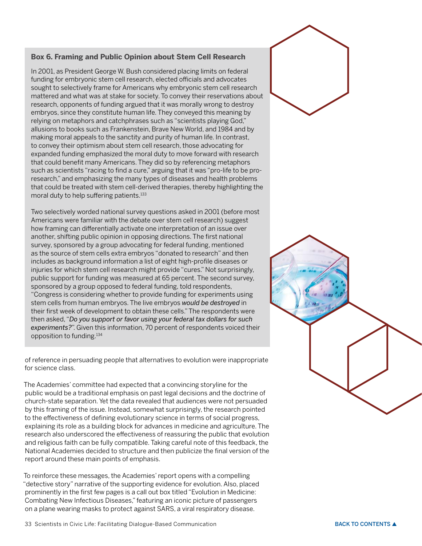#### **Box 6. Framing and Public Opinion about Stem Cell Research**

In 2001, as President George W. Bush considered placing limits on federal funding for embryonic stem cell research, elected officials and advocates sought to selectively frame for Americans why embryonic stem cell research mattered and what was at stake for society. To convey their reservations about research, opponents of funding argued that it was morally wrong to destroy embryos, since they constitute human life. They conveyed this meaning by relying on metaphors and catchphrases such as "scientists playing God," allusions to books such as Frankenstein, Brave New World, and 1984 and by making moral appeals to the sanctity and purity of human life. In contrast, to convey their optimism about stem cell research, those advocating for expanded funding emphasized the moral duty to move forward with research that could benefit many Americans. They did so by referencing metaphors such as scientists "racing to find a cure," arguing that it was "pro-life to be proresearch," and emphasizing the many types of diseases and health problems that could be treated with stem cell-derived therapies, thereby highlighting the moral duty to help suffering patients.<sup>133</sup>

Two selectively worded national survey questions asked in 2001 (before most Americans were familiar with the debate over stem cell research) suggest how framing can differentially activate one interpretation of an issue over another, shifting public opinion in opposing directions. The first national survey, sponsored by a group advocating for federal funding, mentioned as the source of stem cells extra embryos "donated to research" and then includes as background information a list of eight high-profile diseases or injuries for which stem cell research might provide "cures." Not surprisingly, public support for funding was measured at 65 percent. The second survey, sponsored by a group opposed to federal funding, told respondents, "Congress is considering whether to provide funding for experiments using stem cells from human embryos. The live embryos *would be destroyed* in their first week of development to obtain these cells." The respondents were then asked, "*Do you support or favor using your federal tax dollars for such experiments?*". Given this information, 70 percent of respondents voiced their opposition to funding.134

of reference in persuading people that alternatives to evolution were inappropriate for science class.

The Academies' committee had expected that a convincing storyline for the public would be a traditional emphasis on past legal decisions and the doctrine of church-state separation. Yet the data revealed that audiences were not persuaded by this framing of the issue. Instead, somewhat surprisingly, the research pointed to the effectiveness of defining evolutionary science in terms of social progress, explaining its role as a building block for advances in medicine and agriculture. The research also underscored the effectiveness of reassuring the public that evolution and religious faith can be fully compatible. Taking careful note of this feedback, the National Academies decided to structure and then publicize the final version of the report around these main points of emphasis.

To reinforce these messages, the Academies' report opens with a compelling "detective story" narrative of the supporting evidence for evolution. Also, placed prominently in the first few pages is a call out box titled "Evolution in Medicine: Combating New Infectious Diseases," featuring an iconic picture of passengers on a plane wearing masks to protect against SARS, a viral respiratory disease.



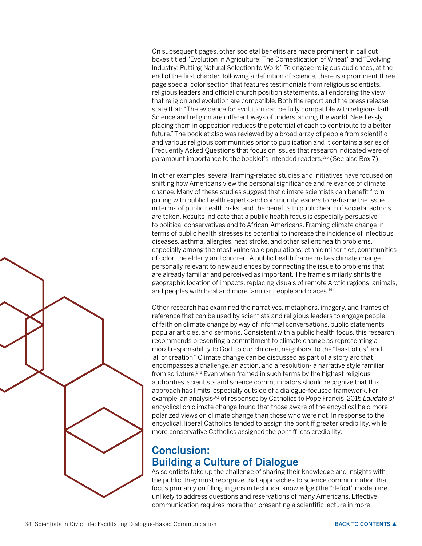<span id="page-33-0"></span>On subsequent pages, other societal benefits are made prominent in call out boxes titled "Evolution in Agriculture: The Domestication of Wheat" and "Evolving Industry: Putting Natural Selection to Work." To engage religious audiences, at the end of the first chapter, following a definition of science, there is a prominent threepage special color section that features testimonials from religious scientists, religious leaders and official church position statements, all endorsing the view that religion and evolution are compatible. Both the report and the press release state that: "The evidence for evolution can be fully compatible with religious faith. Science and religion are different ways of understanding the world. Needlessly placing them in opposition reduces the potential of each to contribute to a better future." The booklet also was reviewed by a broad array of people from scientific and various religious communities prior to publication and it contains a series of Frequently Asked Questions that focus on issues that research indicated were of paramount importance to the booklet's intended readers.<sup>135</sup> (See also Box 7).

In other examples, several framing-related studies and initiatives have focused on shifting how Americans view the personal significance and relevance of climate change. Many of these studies suggest that climate scientists can benefit from joining with public health experts and community leaders to re-frame the issue in terms of public health risks, and the benefits to public health if societal actions are taken. Results indicate that a public health focus is especially persuasive to political conservatives and to African-Americans. Framing climate change in terms of public health stresses its potential to increase the incidence of infectious diseases, asthma, allergies, heat stroke, and other salient health problems, especially among the most vulnerable populations: ethnic minorities, communities of color, the elderly and children. A public health frame makes climate change personally relevant to new audiences by connecting the issue to problems that are already familiar and perceived as important. The frame similarly shifts the geographic location of impacts, replacing visuals of remote Arctic regions, animals, and peoples with local and more familiar people and places.<sup>141</sup>

Other research has examined the narratives, metaphors, imagery, and frames of reference that can be used by scientists and religious leaders to engage people of faith on climate change by way of informal conversations, public statements, popular articles, and sermons. Consistent with a public health focus, this research recommends presenting a commitment to climate change as representing a moral responsibility to God, to our children, neighbors, to the "least of us," and "all of creation." Climate change can be discussed as part of a story arc that encompasses a challenge, an action, and a resolution- a narrative style familiar from scripture.<sup>142</sup> Even when framed in such terms by the highest religious authorities, scientists and science communicators should recognize that this approach has limits, especially outside of a dialogue-focused framework. For example, an analysis<sup>143</sup> of responses by Catholics to Pope Francis' 2015 Laudato si encyclical on climate change found that those aware of the encyclical held more polarized views on climate change than those who were not. In response to the encyclical, liberal Catholics tended to assign the pontiff greater credibility, while more conservative Catholics assigned the pontiff less credibility.

### Conclusion: Building a Culture of Dialogue

As scientists take up the challenge of sharing their knowledge and insights with the public, they must recognize that approaches to science communication that focus primarily on filling in gaps in technical knowledge (the "deficit" model) are unlikely to address questions and reservations of many Americans. Effective communication requires more than presenting a scientific lecture in more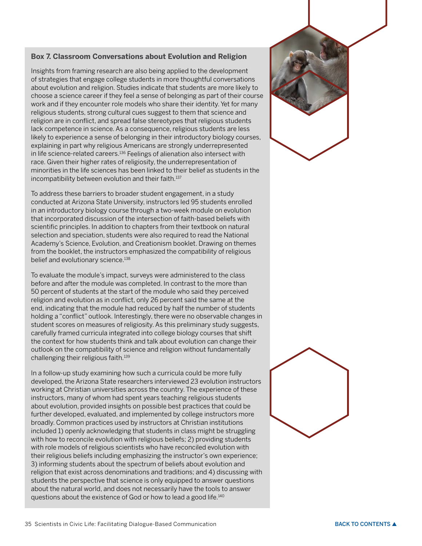#### **Box 7. Classroom Conversations about Evolution and Religion**

Insights from framing research are also being applied to the development of strategies that engage college students in more thoughtful conversations about evolution and religion. Studies indicate that students are more likely to choose a science career if they feel a sense of belonging as part of their course work and if they encounter role models who share their identity. Yet for many religious students, strong cultural cues suggest to them that science and religion are in conflict, and spread false stereotypes that religious students lack competence in science. As a consequence, religious students are less likely to experience a sense of belonging in their introductory biology courses, explaining in part why religious Americans are strongly underrepresented in life science-related careers.<sup>136</sup> Feelings of alienation also intersect with race. Given their higher rates of religiosity, the underrepresentation of minorities in the life sciences has been linked to their belief as students in the incompatibility between evolution and their faith.<sup>137</sup>

To address these barriers to broader student engagement, in a study conducted at Arizona State University, instructors led 95 students enrolled in an introductory biology course through a two-week module on evolution that incorporated discussion of the intersection of faith-based beliefs with scientific principles. In addition to chapters from their textbook on natural selection and speciation, students were also required to read the National Academy's Science, Evolution, and Creationism booklet. Drawing on themes from the booklet, the instructors emphasized the compatibility of religious belief and evolutionary science.<sup>138</sup>

To evaluate the module's impact, surveys were administered to the class before and after the module was completed. In contrast to the more than 50 percent of students at the start of the module who said they perceived religion and evolution as in conflict, only 26 percent said the same at the end, indicating that the module had reduced by half the number of students holding a "conflict" outlook. Interestingly, there were no observable changes in student scores on measures of religiosity. As this preliminary study suggests, carefully framed curricula integrated into college biology courses that shift the context for how students think and talk about evolution can change their outlook on the compatibility of science and religion without fundamentally challenging their religious faith.<sup>139</sup>

In a follow-up study examining how such a curricula could be more fully developed, the Arizona State researchers interviewed 23 evolution instructors working at Christian universities across the country. The experience of these instructors, many of whom had spent years teaching religious students about evolution, provided insights on possible best practices that could be further developed, evaluated, and implemented by college instructors more broadly. Common practices used by instructors at Christian institutions included 1) openly acknowledging that students in class might be struggling with how to reconcile evolution with religious beliefs; 2) providing students with role models of religious scientists who have reconciled evolution with their religious beliefs including emphasizing the instructor's own experience; 3) informing students about the spectrum of beliefs about evolution and religion that exist across denominations and traditions; and 4) discussing with students the perspective that science is only equipped to answer questions about the natural world, and does not necessarily have the tools to answer questions about the existence of God or how to lead a good life.<sup>140</sup>



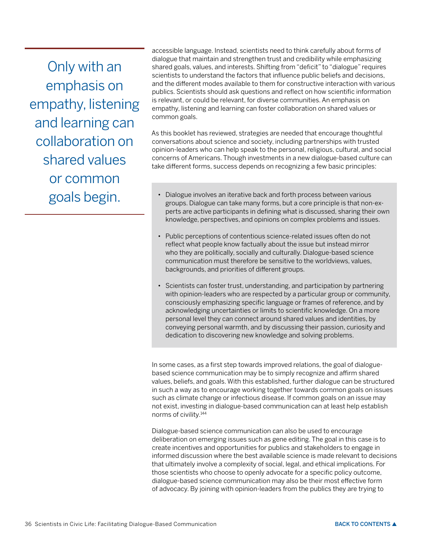Only with an emphasis on empathy, listening and learning can collaboration on shared values or common

accessible language. Instead, scientists need to think carefully about forms of dialogue that maintain and strengthen trust and credibility while emphasizing shared goals, values, and interests. Shifting from "deficit" to "dialogue" requires scientists to understand the factors that influence public beliefs and decisions, and the different modes available to them for constructive interaction with various publics. Scientists should ask questions and reflect on how scientific information is relevant, or could be relevant, for diverse communities. An emphasis on empathy, listening and learning can foster collaboration on shared values or common goals.

As this booklet has reviewed, strategies are needed that encourage thoughtful conversations about science and society, including partnerships with trusted opinion-leaders who can help speak to the personal, religious, cultural, and social concerns of Americans. Though investments in a new dialogue-based culture can take different forms, success depends on recognizing a few basic principles:

- goals begin. Dialogue involves an iterative back and forth process between various condition on the property of the series of the population on the many forms but a core principle is that population on the many forms of groups. Dialogue can take many forms, but a core principle is that non-experts are active participants in defining what is discussed, sharing their own knowledge, perspectives, and opinions on complex problems and issues.
	- Public perceptions of contentious science-related issues often do not reflect what people know factually about the issue but instead mirror who they are politically, socially and culturally. Dialogue-based science communication must therefore be sensitive to the worldviews, values, backgrounds, and priorities of different groups.
	- Scientists can foster trust, understanding, and participation by partnering with opinion-leaders who are respected by a particular group or community, consciously emphasizing specific language or frames of reference, and by acknowledging uncertainties or limits to scientific knowledge. On a more personal level they can connect around shared values and identities, by conveying personal warmth, and by discussing their passion, curiosity and dedication to discovering new knowledge and solving problems.

In some cases, as a first step towards improved relations, the goal of dialoguebased science communication may be to simply recognize and affirm shared values, beliefs, and goals. With this established, further dialogue can be structured in such a way as to encourage working together towards common goals on issues such as climate change or infectious disease. If common goals on an issue may not exist, investing in dialogue-based communication can at least help establish norms of civility.144

Dialogue-based science communication can also be used to encourage deliberation on emerging issues such as gene editing. The goal in this case is to create incentives and opportunities for publics and stakeholders to engage in informed discussion where the best available science is made relevant to decisions that ultimately involve a complexity of social, legal, and ethical implications. For those scientists who choose to openly advocate for a specific policy outcome, dialogue-based science communication may also be their most effective form of advocacy. By joining with opinion-leaders from the publics they are trying to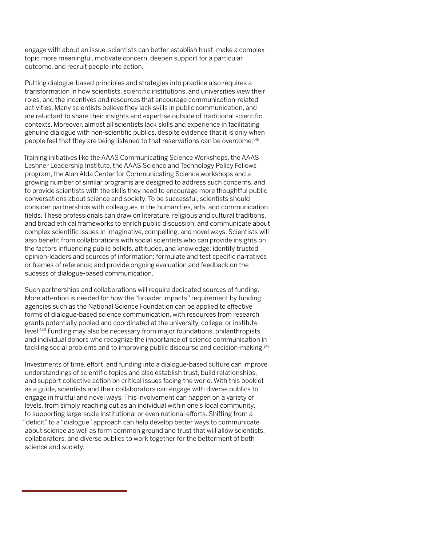engage with about an issue, scientists can better establish trust, make a complex topic more meaningful, motivate concern, deepen support for a particular outcome, and recruit people into action.

Putting dialogue-based principles and strategies into practice also requires a transformation in how scientists, scientific institutions, and universities view their roles, and the incentives and resources that encourage communication-related activities. Many scientists believe they lack skills in public communication, and are reluctant to share their insights and expertise outside of traditional scientific contexts. Moreover, almost all scientists lack skills and experience in facilitating genuine dialogue with non-scientific publics, despite evidence that it is only when people feel that they are being listened to that reservations can be overcome.145

Training initiatives like the AAAS Communicating Science Workshops, the AAAS Leshner Leadership Institute, the AAAS Science and Technology Policy Fellows program, the Alan Alda Center for Communicating Science workshops and a growing number of similar programs are designed to address such concerns, and to provide scientists with the skills they need to encourage more thoughtful public conversations about science and society. To be successful, scientists should consider partnerships with colleagues in the humanities, arts, and communication fields. These professionals can draw on literature, religious and cultural traditions, and broad ethical frameworks to enrich public discussion, and communicate about complex scientific issues in imaginative, compelling, and novel ways. Scientists will also benefit from collaborations with social scientists who can provide insights on the factors influencing public beliefs, attitudes, and knowledge; identify trusted opinion-leaders and sources of information; formulate and test specific narratives or frames of reference; and provide ongoing evaluation and feedback on the sucesss of dialogue-based communication.

Such partnerships and collaborations will require dedicated sources of funding. More attention is needed for how the "broader impacts" requirement by funding agencies such as the National Science Foundation can be applied to effective forms of dialogue-based science communication, with resources from research grants potentially pooled and coordinated at the university, college, or institutelevel.146 Funding may also be necessary from major foundations, philanthropists, and individual donors who recognize the importance of science communication in tackling social problems and to improving public discourse and decision-making.147

Investments of time, effort, and funding into a dialogue-based culture can improve understandings of scientific topics and also establish trust, build relationships, and support collective action on critical issues facing the world. With this booklet as a guide, scientists and their collaborators can engage with diverse publics to engage in fruitful and novel ways. This involvement can happen on a variety of levels, from simply reaching out as an individual within one's local community, to supporting large-scale institutional or even national efforts. Shifting from a "deficit" to a "dialogue" approach can help develop better ways to communicate about science as well as form common ground and trust that will allow scientists, collaborators, and diverse publics to work together for the betterment of both science and society.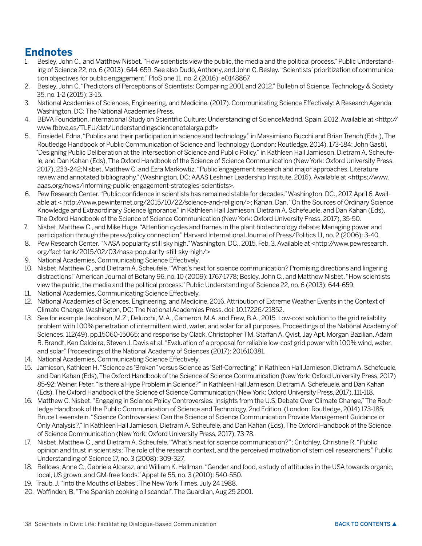### <span id="page-37-0"></span>**Endnotes**

- 1. Besley, John C., and Matthew Nisbet. "How scientists view the public, the media and the political process." Public Understanding of Science 22, no. 6 (2013): 644-659. See also Dudo, Anthony, and John C. Besley. "Scientists' prioritization of communication objectives for public engagement." PloS one 11, no. 2 (2016): e0148867.
- 2. Besley, John C. "Predictors of Perceptions of Scientists: Comparing 2001 and 2012." Bulletin of Science, Technology & Society 35, no. 1-2 (2015): 3-15.
- 3. National Academies of Sciences, Engineering, and Medicine. (2017). Communicating Science Effectively: A Research Agenda. Washington, DC: The National Academies Press.
- 4. BBVA Foundation. International Study on Scientific Culture: Understanding of ScienceMadrid, Spain, 2012. Available at <http:// www.fbbva.es/TLFU/dat/Understandingsciencenotalarga.pdf>
- 5. Einsiedel, Edna, "Publics and their participation in science and technology," in Massimiano Bucchi and Brian Trench (Eds.), The Routledge Handbook of Public Communication of Science and Technology (London: Routledge, 2014), 173-184; John Gastil, "Designing Public Deliberation at the Intersection of Science and Public Policy," in Kathleen Hall Jamieson, Dietram A. Scheufele, and Dan Kahan (Eds), The Oxford Handbook of the Science of Science Communication (New York: Oxford University Press, 2017), 233-242;Nisbet, Matthew C. and Ezra Markowtiz. "Public engagement research and major approaches. Literature review and annotated bibliography." (Washington, DC: AAAS Leshner Leadership Institute, 2016). Available at <https://www. aaas.org/news/informing-public-engagement-strategies-scientists>.
- 6. Pew Research Center. "Public confidence in scientists has remained stable for decades." Washington, DC., 2017, April 6. Available at < http://www.pewinternet.org/2015/10/22/science-and-religion/>; Kahan, Dan. "On the Sources of Ordinary Science Knowledge and Extraordinary Science Ignorance," in Kathleen Hall Jamieson, Dietram A. Schefeuele, and Dan Kahan (Eds), The Oxford Handbook of the Science of Science Communication (New York: Oxford University Press, 2017), 35-50.
- 7. Nisbet, Matthew C., and Mike Huge. "Attention cycles and frames in the plant biotechnology debate: Managing power and participation through the press/policy connection." Harvard International Journal of Press/Politics 11, no. 2 (2006): 3-40.
- 8. Pew Research Center. "NASA popularity still sky high." Washington, DC., 2015, Feb. 3. Available at <http://www.pewresearch. org/fact-tank/2015/02/03/nasa-popularity-still-sky-high/>
- 9. National Academies, Communicating Science Effectively.
- 10. Nisbet, Matthew C., and Dietram A. Scheufele. "What's next for science communication? Promising directions and lingering distractions." American Journal of Botany 96, no. 10 (2009): 1767-1778; Besley, John C., and Matthew Nisbet. "How scientists view the public, the media and the political process." Public Understanding of Science 22, no. 6 (2013): 644-659.
- 11. National Academies, Communicating Science Effectively.
- 12. National Academies of Sciences, Engineering, and Medicine. 2016. Attribution of Extreme Weather Events in the Context of Climate Change. Washington, DC: The National Academies Press. doi: 10.17226/21852.
- 13. See for example Jacobson, M.Z., Delucchi, M.A., Cameron, M.A. and Frew, B.A., 2015. Low-cost solution to the grid reliability problem with 100% penetration of intermittent wind, water, and solar for all purposes. Proceedings of the National Academy of Sciences, 112(49), pp.15060-15065; and response by Clack, Christopher TM, Staffan A. Qvist, Jay Apt, Morgan Bazilian, Adam R. Brandt, Ken Caldeira, Steven J. Davis et al. "Evaluation of a proposal for reliable low-cost grid power with 100% wind, water, and solar." Proceedings of the National Academy of Sciences (2017): 201610381.
- 14. National Academies, Communicating Science Effectively.
- 15. Jamieson, Kathleen H. "Science as 'Broken" versus Science as 'Self-Correcting," in Kathleen Hall Jamieson, Dietram A. Schefeuele, and Dan Kahan (Eds), The Oxford Handbook of the Science of Science Communication (New York: Oxford University Press, 2017) 85-92; Weiner, Peter. "Is there a Hype Problem in Science?" in Kathleen Hall Jamieson, Dietram A. Schefeuele, and Dan Kahan (Eds), The Oxford Handbook of the Science of Science Communication (New York: Oxford University Press, 2017), 111-118.
- 16. Matthew C. Nisbet. "Engaging in Science Policy Controversies: Insights from the U.S. Debate Over Climate Change," The Routledge Handbook of the Public Communication of Science and Technology, 2nd Edition. (London: Routledge, 2014) 173-185; Bruce Lewenstein. "Science Controversies: Can the Science of Science Communication Provide Management Guidance or Only Analysis?," In Kathleen Hall Jamieson, Dietram A. Scheufele, and Dan Kahan (Eds), The Oxford Handbook of the Science of Science Communication (New York: Oxford University Press, 2017), 73-78.
- 17. Nisbet, Matthew C., and Dietram A. Scheufele. "What's next for science communication?"; Critchley, Christine R. "Public opinion and trust in scientists: The role of the research context, and the perceived motivation of stem cell researchers." Public Understanding of Science 17, no. 3 (2008): 309-327.
- 18. Bellows, Anne C., Gabriela Alcaraz, and William K. Hallman. "Gender and food, a study of attitudes in the USA towards organic, local, US grown, and GM-free foods." Appetite 55, no. 3 (2010): 540-550.
- 19. Traub, J. "Into the Mouths of Babes". The New York Times, July 24 1988.
- 20. Woffinden, B. "The Spanish cooking oil scandal". The Guardian, Aug 25 2001.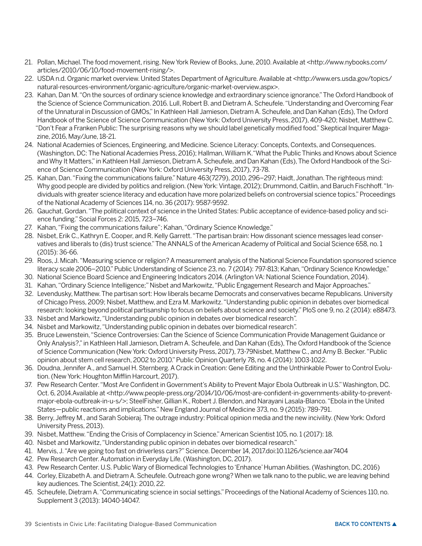- 21. Pollan, Michael. The food movement, rising. New York Review of Books, June, 2010. Available at <http://www.nybooks.com/ articles/2010/06/10/food-movement-rising/>.
- 22. USDA n.d. Organic market overview. United States Department of Agriculture. Available at <http://www.ers.usda.gov/topics/ natural-resources-environment/organic-agriculture/organic-market-overview.aspx>.
- 23. Kahan, Dan M. "On the sources of ordinary science knowledge and extraordinary science ignorance." The Oxford Handbook of the Science of Science Communication. 2016. Lull, Robert B. and Dietram A. Scheufele. "Understanding and Overcoming Fear of the Unnatural in Discussion of GMOs," In Kathleen Hall Jamieson, Dietram A. Scheufele, and Dan Kahan (Eds), The Oxford Handbook of the Science of Science Communication (New York: Oxford University Press, 2017), 409-420; Nisbet, Matthew C. "Don't Fear a Franken Public: The surprising reasons why we should label genetically modified food." Skeptical Inquirer Magazine, 2016, May/June, 18-21.
- 24. National Academies of Sciences, Engineering, and Medicine. Science Literacy: Concepts, Contexts, and Consequences. (Washington, DC: The National Academies Press, 2016); Hallman, William K."What the Public Thinks and Knows about Science and Why It Matters," in Kathleen Hall Jamieson, Dietram A. Scheufele, and Dan Kahan (Eds), The Oxford Handbook of the Science of Science Communication (New York: Oxford University Press, 2017), 73-78.
- 25. Kahan, Dan. "Fixing the communications failure." Nature 463(7279), 2010, 296–297; Haidt, Jonathan. The righteous mind: Why good people are divided by politics and religion. (New York: Vintage, 2012); Drummond, Caitlin, and Baruch Fischhoff. "Individuals with greater science literacy and education have more polarized beliefs on controversial science topics." Proceedings of the National Academy of Sciences 114, no. 36 (2017): 9587-9592.
- 26. Gauchat, Gordan. "The political context of science in the United States: Public acceptance of evidence-based policy and science funding." Social Forces 2: 2015, 723–746.
- 27. Kahan, "Fixing the communications failure"; Kahan, "Ordinary Science Knowledge."
- 28. Nisbet, Erik C., Kathryn E. Cooper, and R. Kelly Garrett. "The partisan brain: How dissonant science messages lead conservatives and liberals to (dis) trust science." The ANNALS of the American Academy of Political and Social Science 658, no. 1 (2015): 36-66.
- 29. Roos, J. Micah. "Measuring science or religion? A measurement analysis of the National Science Foundation sponsored science literacy scale 2006–2010." Public Understanding of Science 23, no. 7 (2014): 797-813; Kahan, "Ordinary Science Knowledge."
- 30. National Science Board Science and Engineering Indicators 2014. (Arlington VA: National Science Foundation, 2014).
- 31. Kahan, "Ordinary Science Intelligence;" Nisbet and Markowitz, "Public Engagement Research and Major Approaches."
- 32. Levendusky, Matthew. The partisan sort: How liberals became Democrats and conservatives became Republicans. University of Chicago Press, 2009; Nisbet, Matthew, and Ezra M. Markowitz. "Understanding public opinion in debates over biomedical research: looking beyond political partisanship to focus on beliefs about science and society." PloS one 9, no. 2 (2014): e88473.
- 33. Nisbet and Markowitz, "Understanding public opinion in debates over biomedical research".
- 34. Nisbet and Markowitz, "Understanding public opinion in debates over biomedical research".
- 35. Bruce Lewenstein, "Science Controversies: Can the Science of Science Communication Provide Management Guidance or Only Analysis?," in Kathleen Hall Jamieson, Dietram A. Scheufele, and Dan Kahan (Eds), The Oxford Handbook of the Science of Science Communication (New York: Oxford University Press, 2017), 73-79Nisbet, Matthew C., and Amy B. Becker. "Public opinion about stem cell research, 2002 to 2010." Public Opinion Quarterly 78, no. 4 (2014): 1003-1022.
- 36. Doudna, Jennifer A., and Samuel H. Sternberg. A Crack in Creation: Gene Editing and the Unthinkable Power to Control Evolution. (New York: Houghton Mifflin Harcourt, 2017).
- 37. Pew Research Center. "Most Are Confident in Government's Ability to Prevent Major Ebola Outbreak in U.S." Washington, DC. Oct. 6, 2014.Available at <http://www.people-press.org/2014/10/06/most-are-confident-in-governments-ability-to-preventmajor-ebola-outbreak-in-u-s/>; SteelFisher, Gillian K., Robert J. Blendon, and Narayani Lasala-Blanco. "Ebola in the United States—public reactions and implications." New England Journal of Medicine 373, no. 9 (2015): 789-791.
- 38. Berry, Jeffrey M., and Sarah Sobieraj. The outrage industry: Political opinion media and the new incivility. (New York: Oxford University Press, 2013).
- 39. Nisbet, Matthew. "Ending the Crisis of Complacency in Science." American Scientist 105, no. 1 (2017): 18.
- 40. Nisbet and Markowitz, "Understanding public opinion in debates over biomedical research."
- 41. Mervis, J. "Are we going too fast on driverless cars?" Science. December 14, 2017.doi:10.1126/science.aar7404
- 42. Pew Research Center. Automation in Everyday Life. (Washington, DC, 2017).
- 43. Pew Research Center. U.S. Public Wary of Biomedical Technologies to 'Enhance' Human Abilities. (Washington, DC, 2016)
- 44. Corley, Elizabeth A. and Dietram A. Scheufele. Outreach gone wrong? When we talk nano to the public, we are leaving behind key audiences. The Scientist, 24(1): 2010, 22.
- 45. Scheufele, Dietram A. "Communicating science in social settings." Proceedings of the National Academy of Sciences 110, no. Supplement 3 (2013): 14040-14047.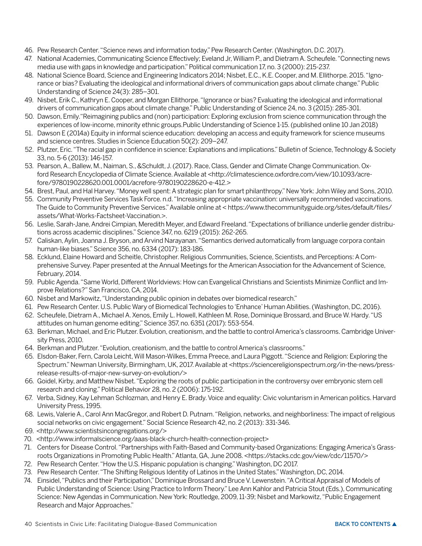- 46. Pew Research Center. "Science news and information today." Pew Research Center. (Washington, D.C. 2017).
- 47. National Academies, Communicating Science Effectively; Eveland Jr, William P., and Dietram A. Scheufele. "Connecting news media use with gaps in knowledge and participation." Political communication 17, no. 3 (2000): 215-237.
- 48. National Science Board, Science and Engineering Indicators 2014; Nisbet, E.C., K.E. Cooper, and M. Ellithorpe. 2015. "Ignorance or bias? Evaluating the ideological and informational drivers of communication gaps about climate change." Public Understanding of Science 24(3): 285–301.
- 49. Nisbet, Erik C., Kathryn E. Cooper, and Morgan Ellithorpe. "Ignorance or bias? Evaluating the ideological and informational drivers of communication gaps about climate change." Public Understanding of Science 24, no. 3 (2015): 285-301.
- 50. Dawson, Emily."Reimagining publics and (non) participation: Exploring exclusion from science communication through the experiences of low-income, minority ethnic groups.Public Understanding of Science 1-15. (published online 10 Jan 2018)
- 51. Dawson E (2014a) Equity in informal science education: developing an access and equity framework for science museums and science centres. Studies in Science Education 50(2): 209–247.
- 52. Plutzer, Eric. "The racial gap in confidence in science: Explanations and implications." Bulletin of Science, Technology & Society 33, no. 5-6 (2013): 146-157.
- 53. Pearson, A., Ballew, M., Naiman, S., &Schuldt, J. (2017). Race, Class, Gender and Climate Change Communication. Oxford Research Encyclopedia of Climate Science. Available at <http://climatescience.oxfordre.com/view/10.1093/acrefore/9780190228620.001.0001/acrefore-9780190228620-e-412.>
- 54. Brest, Paul, and Hal Harvey. "Money well spent: A strategic plan for smart philanthropy." New York: John Wiley and Sons, 2010.
- 55. Community Preventive Services Task Force. n.d. "Increasing appropriate vaccination: universally recommended vaccinations. The Guide to Community Preventive Services." Available online at < https://www.thecommunityguide.org/sites/default/files/ assets/What-Works-Factsheet-Vaccination.>.
- 56. Leslie, Sarah-Jane, Andrei Cimpian, Meredith Meyer, and Edward Freeland. "Expectations of brilliance underlie gender distributions across academic disciplines." Science 347, no. 6219 (2015): 262-265.
- 57. Caliskan, Aylin, Joanna J. Bryson, and Arvind Narayanan. "Semantics derived automatically from language corpora contain human-like biases." Science 356, no. 6334 (2017): 183-186.
- 58. Ecklund, Elaine Howard and Scheitle, Christopher. Religious Communities, Science, Scientists, and Perceptions: A Comprehensive Survey. Paper presented at the Annual Meetings for the American Association for the Advancement of Science, February, 2014.
- 59. Public Agenda. "Same World, Different Worldviews: How can Evangelical Christians and Scientists Minimize Conflict and Improve Relations?" San Francisco, CA, 2014.
- 60. Nisbet and Markowitz, "Understanding public opinion in debates over biomedical research."
- 61. Pew Research Center. U.S. Public Wary of Biomedical Technologies to 'Enhance' Human Abilities. (Washington, DC, 2016).
- 62. Scheufele, Dietram A., Michael A. Xenos, Emily L. Howell, Kathleen M. Rose, Dominique Brossard, and Bruce W. Hardy. "US attitudes on human genome editing." Science 357, no. 6351 (2017): 553-554.
- 63. Berkman, Michael, and Eric Plutzer. Evolution, creationism, and the battle to control America's classrooms. Cambridge University Press, 2010.
- 64. Berkman and Plutzer. "Evolution, creationism, and the battle to control America's classrooms."
- 65. Elsdon-Baker, Fern, Carola Leicht, Will Mason-Wilkes, Emma Preece, and Laura Piggott. "Science and Religion: Exploring the Spectrum." Newman University, Birmingham, UK, 2017. Available at <https://sciencereligionspectrum.org/in-the-news/pressrelease-results-of-major-new-survey-on-evolution/>
- 66. Goidel, Kirby, and Matthew Nisbet. "Exploring the roots of public participation in the controversy over embryonic stem cell research and cloning." Political Behavior 28, no. 2 (2006): 175-192.
- 67. Verba, Sidney, Kay Lehman Schlozman, and Henry E. Brady. Voice and equality: Civic voluntarism in American politics. Harvard University Press, 1995.
- 68. Lewis, Valerie A., Carol Ann MacGregor, and Robert D. Putnam. "Religion, networks, and neighborliness: The impact of religious social networks on civic engagement." Social Science Research 42, no. 2 (2013): 331-346.
- 69. <http://www.scientistsincongregations.org/>
- 70. <http://www.informalscience.org/aaas-black-church-health-connection-project>
- 71. Centers for Disease Control. "Partnerships with Faith-Based and Community-based Organizations: Engaging America's Grassroots Organizations in Promoting Public Health." Atlanta, GA, June 2008. <https://stacks.cdc.gov/view/cdc/11570/>
- 72. Pew Research Center. "How the U.S. Hispanic population is changing." Washington, DC 2017.
- 73. Pew Research Center. "The Shifting Religious Identity of Latinos in the United States." Washington, DC, 2014.
- 74. Einsidel, "Publics and their Participation," Dominique Brossard and Bruce V. Lewenstein. "A Critical Appraisal of Models of Public Understanding of Science: Using Practice to Inform Theory." Lee Ann Kahlor and Patricia Stout (Eds.), Communicating Science: New Agendas in Communication. New York: Routledge, 2009, 11-39; Nisbet and Markowitz, "Public Engagement Research and Major Approaches."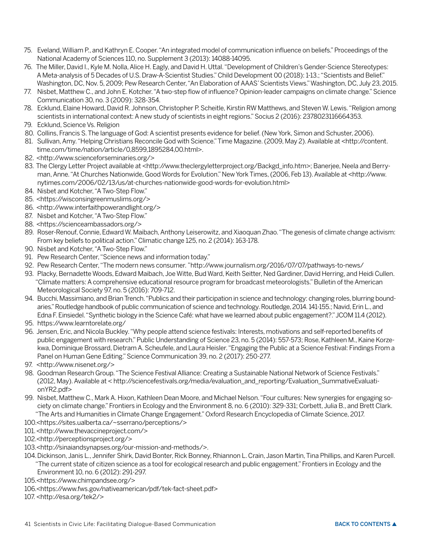- 75. Eveland, William P., and Kathryn E. Cooper. "An integrated model of communication influence on beliefs." Proceedings of the National Academy of Sciences 110, no. Supplement 3 (2013): 14088-14095.
- 76. The Miller, David I., Kyle M. Nolla, Alice H. Eagly, and David H. Uttal. "Development of Children's Gender-Science Stereotypes: A Meta-analysis of 5 Decades of U.S. Draw-A-Scientist Studies." Child Development 00 (2018): 1-13.; "Scientists and Belief." Washington, DC, Nov. 5, 2009; Pew Research Center, "An Elaboration of AAAS' Scientists Views." Washington, DC, July 23, 2015.
- 77. Nisbet, Matthew C., and John E. Kotcher. "A two-step flow of influence? Opinion-leader campaigns on climate change." Science Communication 30, no. 3 (2009): 328-354.
- 78. Ecklund, Elaine Howard, David R. Johnson, Christopher P. Scheitle, Kirstin RW Matthews, and Steven W. Lewis. "Religion among scientists in international context: A new study of scientists in eight regions." Socius 2 (2016): 2378023116664353.
- 79. Ecklund, Science Vs. Religion
- 80. Collins, Francis S. The language of God: A scientist presents evidence for belief. (New York, Simon and Schuster, 2006).
- 81. Sullivan, Amy. "Helping Christians Reconcile God with Science." Time Magazine. (2009, May 2). Available at <http://content. time.com/time/nation/article/0,8599,1895284,00.html>.
- 82. <http://www.scienceforseminaries.org/>
- 83. The Clergy Letter Project available at <http://www.theclergyletterproject.org/Backgd\_info.htm>; Banerjee, Neela and Berryman, Anne. "At Churches Nationwide, Good Words for Evolution." New York Times, (2006, Feb 13). Available at <http://www. nytimes.com/2006/02/13/us/at-churches-nationwide-good-words-for-evolution.html>
- 84. Nisbet and Kotcher, "A Two-Step Flow."
- 85. <https://wisconsingreenmuslims.org/>
- 86. <http://www.interfaithpowerandlight.org/>
- 87. Nisbet and Kotcher, "A Two-Step Flow."
- 88. <https://scienceambassadors.org/>
- 89. Roser-Renouf, Connie, Edward W. Maibach, Anthony Leiserowitz, and Xiaoquan Zhao. "The genesis of climate change activism: From key beliefs to political action." Climatic change 125, no. 2 (2014): 163-178.
- 90. Nisbet and Kotcher, "A Two-Step Flow."
- 91. Pew Research Center, "Science news and information today."
- 92. Pew Research Center, "The modern news consumer. "http://www.journalism.org/2016/07/07/pathways-to-news/
- 93. Placky, Bernadette Woods, Edward Maibach, Joe Witte, Bud Ward, Keith Seitter, Ned Gardiner, David Herring, and Heidi Cullen. "Climate matters: A comprehensive educational resource program for broadcast meteorologists." Bulletin of the American Meteorological Society 97, no. 5 (2016): 709-712.
- 94. Bucchi, Massimiano, and Brian Trench. "Publics and their participation in science and technology: changing roles, blurring boundaries." Routledge handbook of public communication of science and technology. Routledge, 2014. 141-155.; Navid, Erin L., and Edna F. Einsiedel. "Synthetic biology in the Science Café: what have we learned about public engagement?." JCOM 11.4 (2012).
- 95. https://www.learntorelate.org/
- 96. Jensen, Eric, and Nicola Buckley. "Why people attend science festivals: Interests, motivations and self-reported benefits of public engagement with research." Public Understanding of Science 23, no. 5 (2014): 557-573; Rose, Kathleen M., Kaine Korzekwa, Dominique Brossard, Dietram A. Scheufele, and Laura Heisler. "Engaging the Public at a Science Festival: Findings From a Panel on Human Gene Editing." Science Communication 39, no. 2 (2017): 250-277.
- 97. <http://www.nisenet.org/>
- 98. Goodman Research Group. "The Science Festival Alliance: Creating a Sustainable National Network of Science Festivals." (2012, May). Available at < http://sciencefestivals.org/media/evaluation\_and\_reporting/Evaluation\_SummativeEvaluationYR2.pdf>
- 99. Nisbet, Matthew C., Mark A. Hixon, Kathleen Dean Moore, and Michael Nelson. "Four cultures: New synergies for engaging society on climate change." Frontiers in Ecology and the Environment 8, no. 6 (2010): 329-331; Corbett, Julia B., and Brett Clark. "The Arts and Humanities in Climate Change Engagement." Oxford Research Encyclopedia of Climate Science, 2017.
- 100.<https://sites.ualberta.ca/~sserrano/perceptions/>
- 101.<http://www.thevaccineproject.com/>
- 102.<http://perceptionsproject.org/>
- 103.<http://sinaiandsynapses.org/our-mission-and-methods/>.
- 104.Dickinson, Janis L., Jennifer Shirk, David Bonter, Rick Bonney, Rhiannon L. Crain, Jason Martin, Tina Phillips, and Karen Purcell. "The current state of citizen science as a tool for ecological research and public engagement." Frontiers in Ecology and the Environment 10, no. 6 (2012): 291-297.
- 105.<https://www.chimpandsee.org/>
- 106.<https://www.fws.gov/nativeamerican/pdf/tek-fact-sheet.pdf>
- 107. <http://esa.org/tek2/>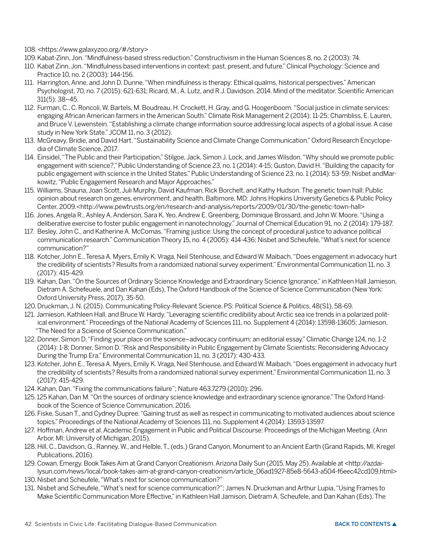108. <https://www.galaxyzoo.org/#/story>

- 109.Kabat-Zinn, Jon. "Mindfulness-based stress reduction." Constructivism in the Human Sciences 8, no. 2 (2003): 74.
- 110. Kabat Zinn, Jon. "Mindfulness based interventions in context: past, present, and future." Clinical Psychology: Science and Practice 10, no. 2 (2003): 144-156.
- 111. Harrington, Anne, and John D. Dunne. "When mindfulness is therapy: Ethical qualms, historical perspectives." American Psychologist, 70, no. 7 (2015): 621-631; Ricard, M., A. Lutz, and R.J. Davidson. 2014. Mind of the meditator. Scientific American 311(5): 38–45.
- 112. Furman, C., C. Roncoli, W. Bartels, M. Boudreau, H. Crockett, H. Gray, and G. Hoogenboom. "Social justice in climate services: engaging African American farmers in the American South." Climate Risk Management 2 (2014): 11-25; Chambliss, E. Lauren, and Bruce V. Lewenstein. "Establishing a climate change information source addressing local aspects of a global issue. A case study in New York State." JCOM 11, no. 3 (2012).
- 113. McGreavy, Bridie, and David Hart. "Sustainability Science and Climate Change Communication." Oxford Research Encyclopedia of Climate Science, 2017.
- 114. Einsidel, "The Public and their Participation," Stilgoe, Jack, Simon J. Lock, and James Wilsdon. "Why should we promote public engagement with science?," Public Understanding of Science 23, no. 1 (2014): 4-15; Guston, David H. "Building the capacity for public engagement with science in the United States." Public Understanding of Science 23, no. 1 (2014): 53-59; Nisbet andMarkowitz, "Public Engagement Research and Major Approaches."
- 115. Williams, Shauna, Joan Scott, Juli Murphy, David Kaufman, Rick Borchelt, and Kathy Hudson. The genetic town hall: Public opinion about research on genes, environment, and health. Baltimore, MD: Johns Hopkins University Genetics & Public Policy Center, 2009.<http://www.pewtrusts.org/en/research-and-analysis/reports/2009/01/30/the-genetic-town-hall>
- 116. Jones, Angela R., Ashley A. Anderson, Sara K. Yeo, Andrew E. Greenberg, Dominique Brossard, and John W. Moore. "Using a deliberative exercise to foster public engagement in nanotechnology." Journal of Chemical Education 91, no. 2 (2014): 179-187.
- 117. Besley, John C., and Katherine A. McComas. "Framing justice: Using the concept of procedural justice to advance political communication research." Communication Theory 15, no. 4 (2005): 414-436; Nisbet and Scheufele, "What's next for science communication?"
- 118. Kotcher, John E., Teresa A. Myers, Emily K. Vraga, Neil Stenhouse, and Edward W. Maibach. "Does engagement in advocacy hurt the credibility of scientists? Results from a randomized national survey experiment." Environmental Communication 11, no. 3 (2017): 415-429.
- 119. Kahan, Dan. "On the Sources of Ordinary Science Knowledge and Extraordinary Science Ignorance," in Kathleen Hall Jamieson, Dietram A. Schefeuele, and Dan Kahan (Eds), The Oxford Handbook of the Science of Science Communication (New York: Oxford University Press, 2017), 35-50.
- 120.Druckman, J. N. (2015). Communicating Policy-Relevant Science. PS: Political Science & Politics, 48(S1), 58-69.
- 121. Jamieson, Kathleen Hall, and Bruce W. Hardy. "Leveraging scientific credibility about Arctic sea ice trends in a polarized political environment." Proceedings of the National Academy of Sciences 111, no. Supplement 4 (2014): 13598-13605; Jamieson, "The Need for a Science of Science Communication."
- 122. Donner, Simon D. "Finding your place on the science–advocacy continuum: an editorial essay." Climatic Change 124, no. 1-2 (2014): 1-8; Donner, Simon D. "Risk and Responsibility in Public Engagement by Climate Scientists: Reconsidering Advocacy During the Trump Era." Environmental Communication 11, no. 3 (2017): 430-433.
- 123. Kotcher, John E., Teresa A. Myers, Emily K. Vraga, Neil Stenhouse, and Edward W. Maibach. "Does engagement in advocacy hurt the credibility of scientists? Results from a randomized national survey experiment." Environmental Communication 11, no. 3 (2017): 415-429.
- 124.Kahan, Dan. "Fixing the communications failure"; Nature 463.7279 (2010): 296.
- 125.125 Kahan, Dan M. "On the sources of ordinary science knowledge and extraordinary science ignorance." The Oxford Handbook of the Science of Science Communication. 2016.
- 126. Fiske, Susan T., and Cydney Dupree. "Gaining trust as well as respect in communicating to motivated audiences about science topics." Proceedings of the National Academy of Sciences 111, no. Supplement 4 (2014): 13593-13597.
- 127. Hoffman, Andrew et al. Academic Engagement in Public and Political Discourse: Proceedings of the Michigan Meeting. (Ann Arbor, MI: University of Michigan, 2015).
- 128.Hill, C., Davidson, G., Ranney, W., and Helble, T., (eds.) Grand Canyon, Monument to an Ancient Earth (Grand Rapids, MI, Kregel Publications, 2016).
- 129. Cowan, Emergy. Book Takes Aim at Grand Canyon Creationism. Arizona Daily Sun (2015, May 25). Available at <http://azdailysun.com/news/local/book-takes-aim-at-grand-canyon-creationism/article\_06ad1927-85e8-5643-a504-f6eec42cd109.html>
- 130.Nisbet and Scheufele, "What's next for science communication?"
- 131. Nisbet and Scheufele, "What's next for science communication?"; James N. Druckman and Arthur Lupia, "Using Frames to Make Scientific Communication More Effective," in Kathleen Hall Jamison, Dietram A. Scheufele, and Dan Kahan (Eds), The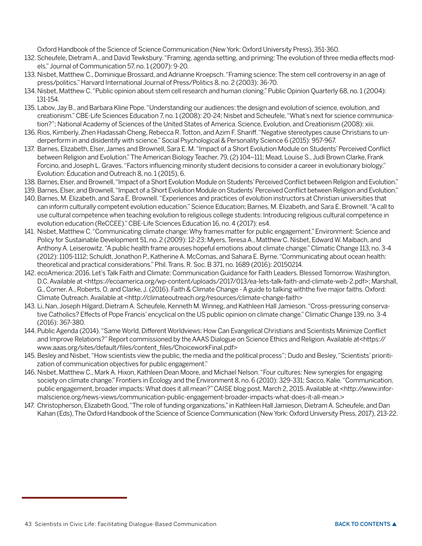Oxford Handbook of the Science of Science Communication (New York: Oxford University Press), 351-360.

- 132.Scheufele, Dietram A., and David Tewksbury. "Framing, agenda setting, and priming: The evolution of three media effects models." Journal of Communication 57, no. 1 (2007): 9-20.
- 133. Nisbet, Matthew C., Dominique Brossard, and Adrianne Kroepsch. "Framing science: The stem cell controversy in an age of press/politics." Harvard International Journal of Press/Politics 8, no. 2 (2003): 36-70.
- 134.Nisbet, Matthew C. "Public opinion about stem cell research and human cloning." Public Opinion Quarterly 68, no. 1 (2004): 131-154.
- 135. Labov, Jay B., and Barbara Kline Pope. "Understanding our audiences: the design and evolution of science, evolution, and creationism." CBE-Life Sciences Education 7, no. 1 (2008): 20-24; Nisbet and Scheufele, "What's next for science communication?"; National Academy of Sciences of the United States of America. Science, Evolution, and Creationism (2008): xiii.
- 136.Rios, Kimberly, Zhen Hadassah Cheng, Rebecca R. Totton, and Azim F. Shariff. "Negative stereotypes cause Christians to underperform in and disidentify with science." Social Psychological & Personality Science 6 (2015): 957-967.
- 137. Barnes, Elizabeth, Elser, James and Brownell, Sara E. M. "Impact of a Short Evolution Module on Students' Perceived Conflict between Religion and Evolution." The American Biology Teacher, 79, (2) 104–111; Mead, Louise S., Judi Brown Clarke, Frank Forcino, and Joseph L. Graves. "Factors influencing minority student decisions to consider a career in evolutionary biology." Evolution: Education and Outreach 8, no. 1 (2015), 6.
- 138.Barnes, Elser, and Brownell, "Impact of a Short Evolution Module on Students' Perceived Conflict between Religion and Evolution."
- 139. Barnes, Elser, and Brownell, "Impact of a Short Evolution Module on Students' Perceived Conflict between Religion and Evolution."
- 140.Barnes, M. Elizabeth, and Sara E. Brownell. "Experiences and practices of evolution instructors at Christian universities that can inform culturally competent evolution education." Science Education; Barnes, M. Elizabeth, and Sara E. Brownell. "A call to use cultural competence when teaching evolution to religious college students: Introducing religious cultural competence in evolution education (ReCCEE)." CBE-Life Sciences Education 16, no. 4 (2017): es4.
- 141. Nisbet, Matthew C. "Communicating climate change: Why frames matter for public engagement." Environment: Science and Policy for Sustainable Development 51, no. 2 (2009): 12-23; Myers, Teresa A., Matthew C. Nisbet, Edward W. Maibach, and Anthony A. Leiserowitz. "A public health frame arouses hopeful emotions about climate change." Climatic Change 113, no. 3-4 (2012): 1105-1112; Schuldt, Jonathon P., Katherine A. McComas, and Sahara E. Byrne. "Communicating about ocean health: theoretical and practical considerations." Phil. Trans. R. Soc. B 371, no. 1689 (2016): 20150214.
- 142. ecoAmerica: 2016. Let's Talk Faith and Climate: Communication Guidance for Faith Leaders. Blessed Tomorrow. Washington, D.C. Available at <https://ecoamerica.org/wp-content/uploads/2017/013/ea-lets-talk-faith-and-climate-web-2.pdf>; Marshall, G., Corner, A., Roberts, O. and Clarke, J. (2016). Faith & Climate Change - A guide to talking withthe five major faiths. Oxford: Climate Outreach. Available at <http://climateoutreach.org/resources/climate-change-faith>
- 143. Li, Nan, Joseph Hilgard, Dietram A. Scheufele, Kenneth M. Winneg, and Kathleen Hall Jamieson. "Cross-pressuring conservative Catholics? Effects of Pope Francis' encyclical on the US public opinion on climate change." Climatic Change 139, no. 3-4 (2016): 367-380.
- 144. Public Agenda (2014). "Same World, Different Worldviews: How Can Evangelical Christians and Scientists Minimize Conflict and Improve Relations?" Report commissioned by the AAAS Dialogue on Science Ethics and Religion. Available at<https:// www.aaas.org/sites/default/files/content\_files/ChoiceworkFinal.pdf>
- 145. Besley and Nisbet, "How scientists view the public, the media and the political process"; Dudo and Besley, "Scientists' prioritization of communication objectives for public engagement."
- 146. Nisbet, Matthew C., Mark A. Hixon, Kathleen Dean Moore, and Michael Nelson. "Four cultures: New synergies for engaging society on climate change." Frontiers in Ecology and the Environment 8, no. 6 (2010): 329-331; Sacco, Kalie. "Communication, public engagement, broader impacts: What does it all mean?" CAISE blog post, March 2, 2015. Available at <http://www.informalscience.org/news-views/communication-public-engagement-broader-impacts-what-does-it-all-mean.>
- 147. Christopherson, Elizabeth Good, "The role of funding organizations," in Kathleen Hall Jamieson, Dietram A. Scheufele, and Dan Kahan (Eds), The Oxford Handbook of the Science of Science Communication (New York: Oxford University Press, 2017), 213-22.